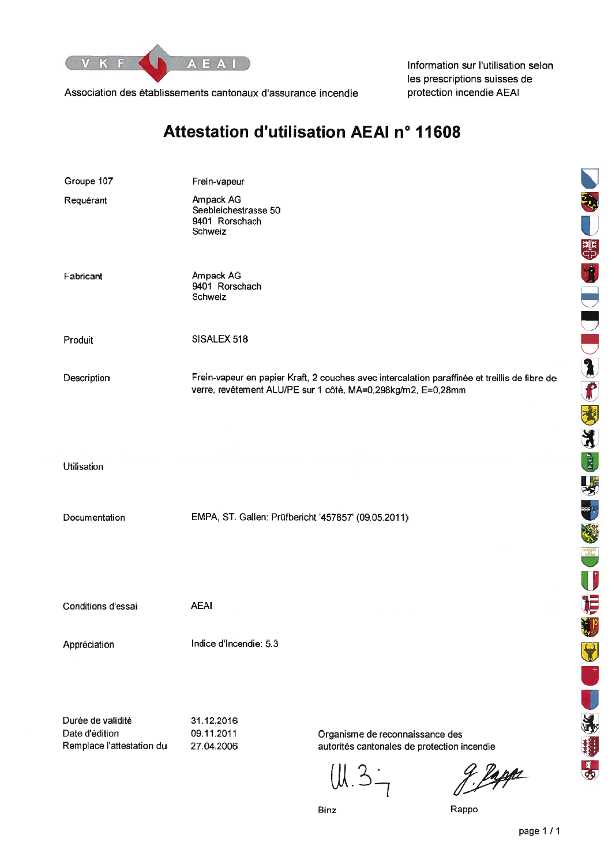

Association des établissements cantonaux d'assurance incendie

Information sur l'utilisation selon les prescriptions suisses de protection incendie AEAI

### Attestation d'utilisation AEAI nº 11608

| Groupe 107                                                       | Frein-vapeur                                                   |                                                                                                                                                               |
|------------------------------------------------------------------|----------------------------------------------------------------|---------------------------------------------------------------------------------------------------------------------------------------------------------------|
| Requérant                                                        | Ampack AG<br>Seebleichestrasse 50<br>9401 Rorschach<br>Schweiz |                                                                                                                                                               |
| Fabricant                                                        | Ampack AG<br>9401 Rorschach<br>Schweiz                         |                                                                                                                                                               |
| Produit                                                          | SISALEX 518                                                    |                                                                                                                                                               |
| Description                                                      |                                                                | Frein-vapeur en papier Kraft, 2 couches avec intercalation paraffinée et treillis de fibre de<br>verre, revêtement ALU/PE sur 1 côté, MA=0,298kg/m2, E=0,28mm |
| <b>Utilisation</b>                                               |                                                                |                                                                                                                                                               |
| Documentation                                                    | EMPA, ST. Gallen: Prüfbericht '457857' (09.05.2011)            |                                                                                                                                                               |
| Conditions d'essai                                               | <b>AEAI</b>                                                    |                                                                                                                                                               |
| Appréciation                                                     | Indice d'Incendie: 5.3                                         |                                                                                                                                                               |
| Durée de validité<br>Date d'édition<br>Remplace l'attestation du | 31.12.2016<br>09.11.2011<br>27.04.2006                         | Organisme de reconnaissance des<br>autorités cantonales de protection incendie<br>g. Pappe<br>UL.3.1                                                          |

NOW COOL OF SACK WARD DEVELOPED 昌

Rappo

page 1/1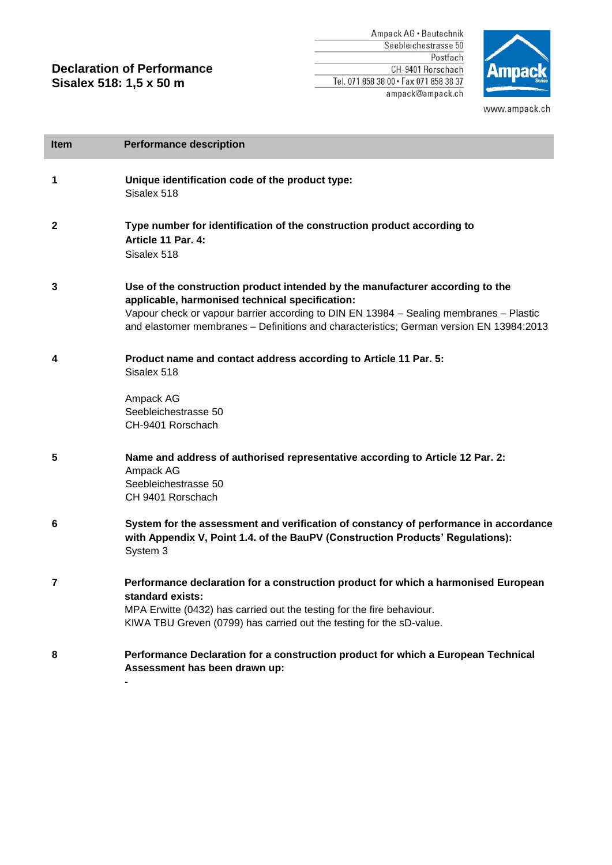#### **Declaration of Performance Sisalex 518: 1,5 x 50 m**

Ampack AG · Bautechnik Seebleichestrasse 50 Postfach CH-9401 Rorschach Tel. 071 858 38 00 · Fax 071 858 38 37 ampack@ampack.ch



www.ampack.ch

| <b>Item</b> | <b>Performance description</b>                                                                                                                                                                                                                                                                                        |
|-------------|-----------------------------------------------------------------------------------------------------------------------------------------------------------------------------------------------------------------------------------------------------------------------------------------------------------------------|
| 1           | Unique identification code of the product type:<br>Sisalex 518                                                                                                                                                                                                                                                        |
| 2           | Type number for identification of the construction product according to<br>Article 11 Par. 4:<br>Sisalex 518                                                                                                                                                                                                          |
| 3           | Use of the construction product intended by the manufacturer according to the<br>applicable, harmonised technical specification:<br>Vapour check or vapour barrier according to DIN EN 13984 - Sealing membranes - Plastic<br>and elastomer membranes - Definitions and characteristics; German version EN 13984:2013 |
| 4           | Product name and contact address according to Article 11 Par. 5:<br>Sisalex 518                                                                                                                                                                                                                                       |
|             | Ampack AG<br>Seebleichestrasse 50<br>CH-9401 Rorschach                                                                                                                                                                                                                                                                |
| 5           | Name and address of authorised representative according to Article 12 Par. 2:<br>Ampack AG<br>Seebleichestrasse 50<br>CH 9401 Rorschach                                                                                                                                                                               |
| 6           | System for the assessment and verification of constancy of performance in accordance<br>with Appendix V, Point 1.4. of the BauPV (Construction Products' Regulations):<br>System 3                                                                                                                                    |
| 7           | Performance declaration for a construction product for which a harmonised European<br>standard exists:<br>MPA Erwitte (0432) has carried out the testing for the fire behaviour.<br>KIWA TBU Greven (0799) has carried out the testing for the sD-value.                                                              |
| 8           | Performance Declaration for a construction product for which a European Technical<br>Assessment has been drawn up:                                                                                                                                                                                                    |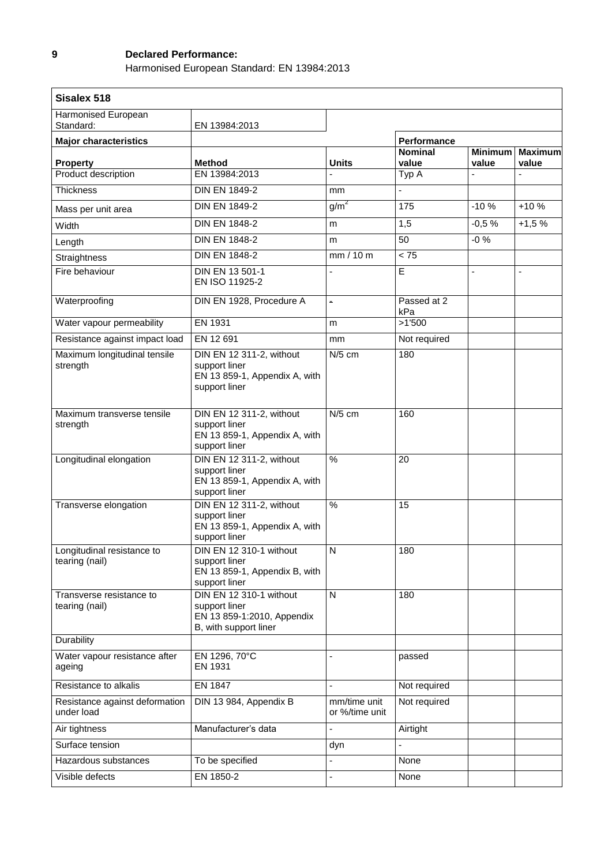#### **9 Declared Performance:**

Harmonised European Standard: EN 13984:2013

| Sisalex 518                                  |                                                                                                 |                                |                         |                         |                          |
|----------------------------------------------|-------------------------------------------------------------------------------------------------|--------------------------------|-------------------------|-------------------------|--------------------------|
| Harmonised European<br>Standard:             | EN 13984:2013                                                                                   |                                |                         |                         |                          |
| <b>Major characteristics</b>                 |                                                                                                 |                                | Performance             |                         |                          |
| <b>Property</b>                              | <b>Method</b>                                                                                   | <b>Units</b>                   | <b>Nominal</b><br>value | <b>Minimum</b><br>value | <b>Maximum</b><br>value  |
| Product description                          | EN 13984:2013                                                                                   | ÷,                             | Typ A                   |                         |                          |
| Thickness                                    | <b>DIN EN 1849-2</b>                                                                            | mm                             |                         |                         |                          |
| Mass per unit area                           | <b>DIN EN 1849-2</b>                                                                            | g/m <sup>2</sup>               | 175                     | $-10%$                  | $+10%$                   |
| Width                                        | <b>DIN EN 1848-2</b>                                                                            | m                              | 1,5                     | $-0,5%$                 | $+1,5%$                  |
| Length                                       | <b>DIN EN 1848-2</b>                                                                            | m                              | 50                      | $-0\%$                  |                          |
| Straightness                                 | <b>DIN EN 1848-2</b>                                                                            | mm/10m                         | < 75                    |                         |                          |
| Fire behaviour                               | DIN EN 13 501-1<br>EN ISO 11925-2                                                               | $\blacksquare$                 | E                       | ÷,                      | $\overline{\phantom{a}}$ |
| Waterproofing                                | DIN EN 1928, Procedure A                                                                        | $\blacksquare$                 | Passed at 2<br>kPa      |                         |                          |
| Water vapour permeability                    | EN 1931                                                                                         | m                              | >1'500                  |                         |                          |
| Resistance against impact load               | EN 12 691                                                                                       | mm                             | Not required            |                         |                          |
| Maximum longitudinal tensile<br>strength     | DIN EN 12 311-2, without<br>support liner<br>EN 13 859-1, Appendix A, with<br>support liner     | $N/5$ cm                       | 180                     |                         |                          |
| Maximum transverse tensile<br>strength       | DIN EN 12 311-2, without<br>support liner<br>EN 13 859-1, Appendix A, with<br>support liner     | $N/5$ cm                       | 160                     |                         |                          |
| Longitudinal elongation                      | DIN EN 12 311-2, without<br>support liner<br>EN 13 859-1, Appendix A, with<br>support liner     | $\%$                           | 20                      |                         |                          |
| Transverse elongation                        | DIN EN 12 311-2, without<br>support liner<br>EN 13 859-1, Appendix A, with<br>support liner     | %                              | 15                      |                         |                          |
| Longitudinal resistance to<br>tearing (nail) | DIN EN 12 310-1 without<br>support liner<br>EN 13 859-1, Appendix B, with<br>support liner      | N                              | 180                     |                         |                          |
| Transverse resistance to<br>tearing (nail)   | DIN EN 12 310-1 without<br>support liner<br>EN 13 859-1:2010, Appendix<br>B, with support liner | $\mathsf{N}$                   | 180                     |                         |                          |
| Durability                                   |                                                                                                 |                                |                         |                         |                          |
| Water vapour resistance after<br>ageing      | EN 1296, 70°C<br>EN 1931                                                                        | $\blacksquare$                 | passed                  |                         |                          |
| Resistance to alkalis                        | <b>EN 1847</b>                                                                                  | ä,                             | Not required            |                         |                          |
| Resistance against deformation<br>under load | DIN 13 984, Appendix B                                                                          | mm/time unit<br>or %/time unit | Not required            |                         |                          |
| Air tightness                                | Manufacturer's data                                                                             | $\blacksquare$                 | Airtight                |                         |                          |
| Surface tension                              |                                                                                                 | dyn                            |                         |                         |                          |
| Hazardous substances                         | To be specified                                                                                 | $\overline{\phantom{a}}$       | None                    |                         |                          |
| Visible defects                              | EN 1850-2                                                                                       | $\blacksquare$                 | None                    |                         |                          |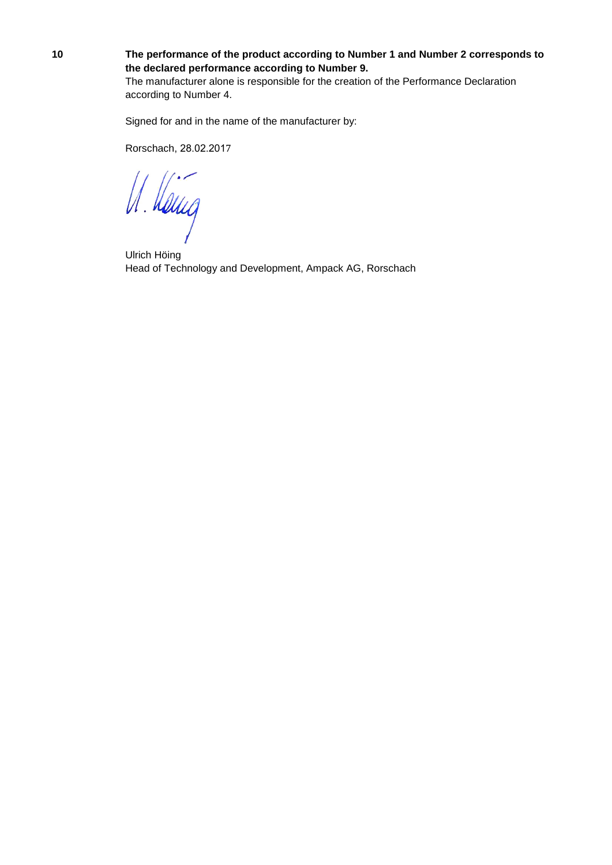#### **10 The performance of the product according to Number 1 and Number 2 corresponds to the declared performance according to Number 9.**

The manufacturer alone is responsible for the creation of the Performance Declaration according to Number 4.

Signed for and in the name of the manufacturer by:

Rorschach, 28.02.2017

U. Hang

Ulrich Höing Head of Technology and Development, Ampack AG, Rorschach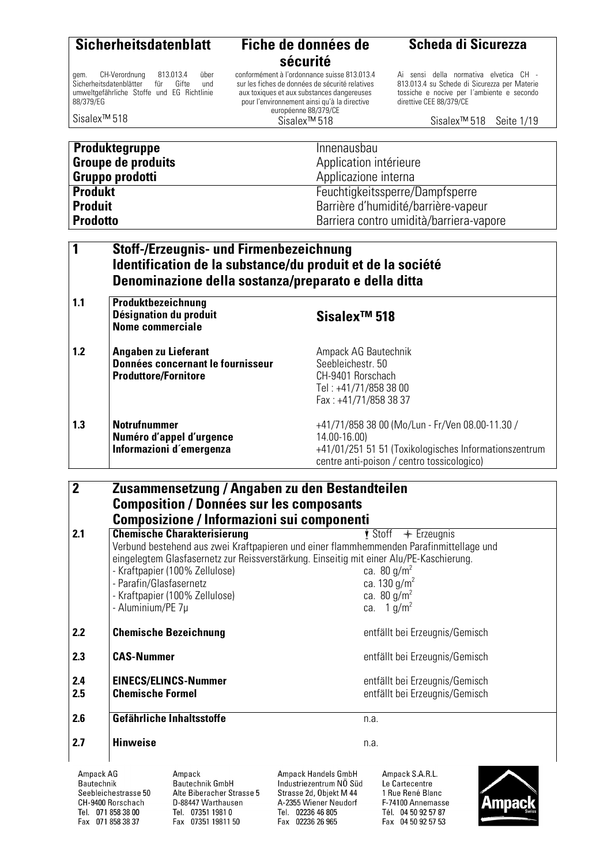Sicherheitsdatenblätter

88/379/EG

Sisalex™ 518

### **sécurité**

gem. CH-Verordnung 813.013.4 über<br>Sicherheitsdatenblätter für Gifte und umweltgefährliche Stoffe und EG Richtlinie conformément à l'ordonnance suisse 813.013.4 sur les fiches de données de sécurité relatives aux toxiques et aux substances dangereuses pour l'environnement ainsi qu'à la directive européenne 88/379/CE

Sisalex™ 518

#### **Scheda di Sicurezza**

Ai sensi della normativa elvetica CH - 813.013.4 su Schede di Sicurezza per Materie tossiche e nocive per l´ambiente e secondo direttive CEE 88/379/CE

Sisalex™ 518 Seite 1/19

| <b>Produktegruppe</b>     | Innenausbau                             |
|---------------------------|-----------------------------------------|
| <b>Groupe de produits</b> | Application intérieure                  |
| Gruppo prodotti           | Applicazione interna                    |
| <b>Produkt</b>            | Feuchtigkeitssperre/Dampfsperre         |
| <b>Produit</b>            | Barrière d'humidité/barrière-vapeur     |
| <b>Prodotto</b>           | Barriera contro umidità/barriera-vapore |

#### **1 Stoff-/Erzeugnis- und Firmenbezeichnung Identification de la substance/du produit et de la société Denominazione della sostanza/preparato e della ditta**

| 1.1 | Produktbezeichnung<br>Désignation du produit<br><b>Nome commerciale</b>                  | Sisalex <sup>™</sup> 518                                                                                                                                               |
|-----|------------------------------------------------------------------------------------------|------------------------------------------------------------------------------------------------------------------------------------------------------------------------|
| 1.2 | Angaben zu Lieferant<br>Données concernant le fournisseur<br><b>Produttore/Fornitore</b> | Ampack AG Bautechnik<br>Seebleichestr. 50<br>CH-9401 Rorschach<br>Tel: +41/71/858 38 00<br>Fax: +41/71/858 38 37                                                       |
| 1.3 | <b>Notrufnummer</b><br>Numéro d'appel d'urgence<br>Informazioni d'emergenza              | +41/71/858 38 00 (Mo/Lun - Fr/Ven 08.00-11.30 /<br>14.00-16.00)<br>+41/01/251 51 51 (Toxikologisches Informationszentrum<br>centre anti-poison / centro tossicologico) |

#### **2 Zusammensetzung / Angaben zu den Bestandteilen Composition / Données sur les composants Composizione / Informazioni sui componenti 2.1** Chemische Charakterisierung  $\mathbf{\dot{y}}$  Stoff  $\mathbf{\hat{y}}$  Erzeugnis Verbund bestehend aus zwei Kraftpapieren und einer flammhemmenden Parafinmittellage und eingelegtem Glasfasernetz zur Reissverstärkung. Einseitig mit einer Alu/PE-Kaschierung. - Kraftpapier (100% Zellulose) ca. 80  $g/m^2$

|                                | - Parafin/Glasfasernetz<br>- Aluminium/PE 7µ           | - Kraftpapier (100% Zellulose)                                                                                                                                                            |                                                                                   | ca. 130 $q/m^2$<br>ca. 80 $q/m^2$<br>ca. $1 g/m^2$               |  |
|--------------------------------|--------------------------------------------------------|-------------------------------------------------------------------------------------------------------------------------------------------------------------------------------------------|-----------------------------------------------------------------------------------|------------------------------------------------------------------|--|
| $2.2$                          |                                                        | <b>Chemische Bezeichnung</b>                                                                                                                                                              |                                                                                   | entfällt bei Erzeugnis/Gemisch                                   |  |
| 2.3                            | <b>CAS-Nummer</b>                                      |                                                                                                                                                                                           |                                                                                   | entfällt bei Erzeugnis/Gemisch                                   |  |
| 2.4<br>2.5                     | <b>EINECS/ELINCS-Nummer</b><br><b>Chemische Formel</b> |                                                                                                                                                                                           |                                                                                   | entfällt bei Erzeugnis/Gemisch<br>entfällt bei Erzeugnis/Gemisch |  |
| 2.6                            |                                                        | Gefährliche Inhaltsstoffe                                                                                                                                                                 |                                                                                   | n.a.                                                             |  |
| 2.7                            | <b>Hinweise</b>                                        |                                                                                                                                                                                           |                                                                                   | n.a.                                                             |  |
| Ampack AG<br><b>Bautechnik</b> | 0 - - List - Lessine - - - DO                          | Ampack<br><b>Bautechnik GmbH</b><br>$A_{\text{H}}$ $B_{\text{H}}$ $B_{\text{H}}$ $B_{\text{H}}$ $B_{\text{H}}$ $B_{\text{H}}$ $B_{\text{H}}$ $B_{\text{H}}$ $B_{\text{H}}$ $B_{\text{H}}$ | Ampack Handels GmbH<br>Industriezentrum NÖ Süd<br>$0 + 1 - 1 - 0 + 0 + 1 + 0 + 0$ | Ampack S.A.R.L.<br>Le Cartecentre<br>1.001.0                     |  |

Seebleichestrasse 50 CH-9400 Rorschach Tel. 071 858 38 00 Fax 071 858 38 37

Alte Biberacher Strasse 5 D-88447 Warthausen Tel. 07351 1981 0 Fax 07351 19811 50

Strasse 2d, Objekt M 44 A-2355 Wiener Neudorf Tel. 02236 46 805 Fax 02236 26 965

1 Rue René Blanc F-74100 Annemasse Tél. 04 50 92 57 87 Fax 04 50 92 57 53

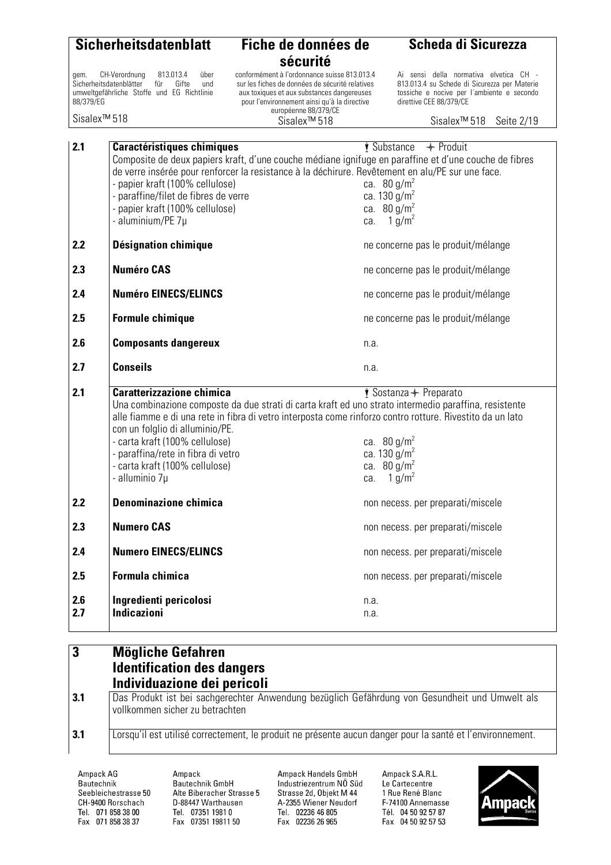|                          | <b>Sicherheitsdatenblatt</b>                                                                                                       | Fiche de données de                                                                                                                                                                                                | <b>Scheda di Sicurezza</b>                                                                                                                                      |
|--------------------------|------------------------------------------------------------------------------------------------------------------------------------|--------------------------------------------------------------------------------------------------------------------------------------------------------------------------------------------------------------------|-----------------------------------------------------------------------------------------------------------------------------------------------------------------|
|                          |                                                                                                                                    | sécurité                                                                                                                                                                                                           |                                                                                                                                                                 |
| qem.<br>88/379/EG        | 813.013.4<br>CH-Verordnung<br>über<br>Sicherheitsdatenblätter<br>für<br>Gifte<br>und<br>umweltgefährliche Stoffe und EG Richtlinie | conformément à l'ordonnance suisse 813.013.4<br>sur les fiches de données de sécurité relatives<br>aux toxiques et aux substances dangereuses<br>pour l'environnement ainsi qu'à la directive                      | Ai sensi della normativa elvetica CH -<br>813.013.4 su Schede di Sicurezza per Materie<br>tossiche e nocive per l'ambiente e secondo<br>direttive CEE 88/379/CE |
| Sisalex <sup>™</sup> 518 |                                                                                                                                    | européenne 88/379/CE<br>Sisalex <sup>™</sup> 518                                                                                                                                                                   | Sisalex <sup>™</sup> 518<br>Seite 2/19                                                                                                                          |
| 2.1                      | <b>Caractéristiques chimiques</b>                                                                                                  |                                                                                                                                                                                                                    | <i>i</i> Substance<br>$+$ Produit                                                                                                                               |
|                          | - papier kraft (100% cellulose)<br>- paraffine/filet de fibres de verre<br>- papier kraft (100% cellulose)<br>- aluminium/PE 7µ    | Composite de deux papiers kraft, d'une couche médiane ignifuge en paraffine et d'une couche de fibres<br>de verre insérée pour renforcer la resistance à la déchirure. Revêtement en alu/PE sur une face.<br>ca.   | ca. 80 $g/m^2$<br>ca. 130 $g/m^2$<br>ca. $80 g/m^2$<br>1 $g/m^2$                                                                                                |
| 2.2                      | <b>Désignation chimique</b>                                                                                                        |                                                                                                                                                                                                                    | ne concerne pas le produit/mélange                                                                                                                              |
| 2.3                      | <b>Numéro CAS</b>                                                                                                                  |                                                                                                                                                                                                                    | ne concerne pas le produit/mélange                                                                                                                              |
| 2.4                      | <b>Numéro EINECS/ELINCS</b>                                                                                                        |                                                                                                                                                                                                                    | ne concerne pas le produit/mélange                                                                                                                              |
| 2.5                      | <b>Formule chimique</b>                                                                                                            |                                                                                                                                                                                                                    | ne concerne pas le produit/mélange                                                                                                                              |
| 2.6                      | <b>Composants dangereux</b>                                                                                                        | n.a.                                                                                                                                                                                                               |                                                                                                                                                                 |
| 2.7                      | <b>Conseils</b>                                                                                                                    | n.a.                                                                                                                                                                                                               |                                                                                                                                                                 |
| 2.1                      | <b>Caratterizzazione chimica</b><br>con un folglio di alluminio/PE.                                                                | Una combinazione composte da due strati di carta kraft ed uno strato intermedio paraffina, resistente<br>alle fiamme e di una rete in fibra di vetro interposta come rinforzo contro rotture. Rivestito da un lato | $\dot{\bullet}$ Sostanza $\leftarrow$ Preparato                                                                                                                 |

|     | alle fiamme e di una rete in fibra di vetro interposta come rinforzo contro rotture. Rivestito da un lato<br>con un folglio di alluminio/PE. |                                   |
|-----|----------------------------------------------------------------------------------------------------------------------------------------------|-----------------------------------|
|     | - carta kraft (100% cellulose)                                                                                                               | ca. $80 g/m^2$                    |
|     | - paraffina/rete in fibra di vetro<br>- carta kraft (100% cellulose)                                                                         | ca. 130 $g/m^2$<br>ca. $80 g/m^2$ |
|     | - alluminio 7µ                                                                                                                               | ca. $1 g/m^2$                     |
|     |                                                                                                                                              |                                   |
| 2.2 | <b>Denominazione chimica</b>                                                                                                                 | non necess. per preparati/miscele |
| 2.3 | <b>Numero CAS</b>                                                                                                                            | non necess. per preparati/miscele |
| 2.4 | <b>Numero EINECS/ELINCS</b>                                                                                                                  | non necess. per preparati/miscele |
| 2.5 | Formula chimica                                                                                                                              | non necess. per preparati/miscele |
| 2.6 | Ingredienti pericolosi                                                                                                                       | n.a.                              |
| 2.7 | <b>Indicazioni</b>                                                                                                                           | n.a.                              |
|     |                                                                                                                                              |                                   |

#### $\overline{\mathbf{3}}$ **3 Mögliche Gefahren Identification des dangers Individuazione dei pericoli**

**3.1** Das Produkt ist bei sachgerechter Anwendung bezüglich Gefährdung von Gesundheit und Umwelt als vollkommen sicher zu betrachten

**3.1** Lorsqu'il est utilisé correctement, le produit ne présente aucun danger pour la santé et l'environnement.

Ampack AG Bautechnik Seebleichestrasse 50 CH-9400 Rorschach Tel. 071 858 38 00 Fax 071 858 38 37

Ampack Bautechnik GmbH Alte Biberacher Strasse 5 D-88447 Warthausen Tel. 07351 1981 0 Fax 07351 19811 50

Ampack Handels GmbH Industriezentrum NÖ Süd Strasse 2d, Objekt M 44 A-2355 Wiener Neudorf Tel. 02236 46 805 Fax 02236 26 965

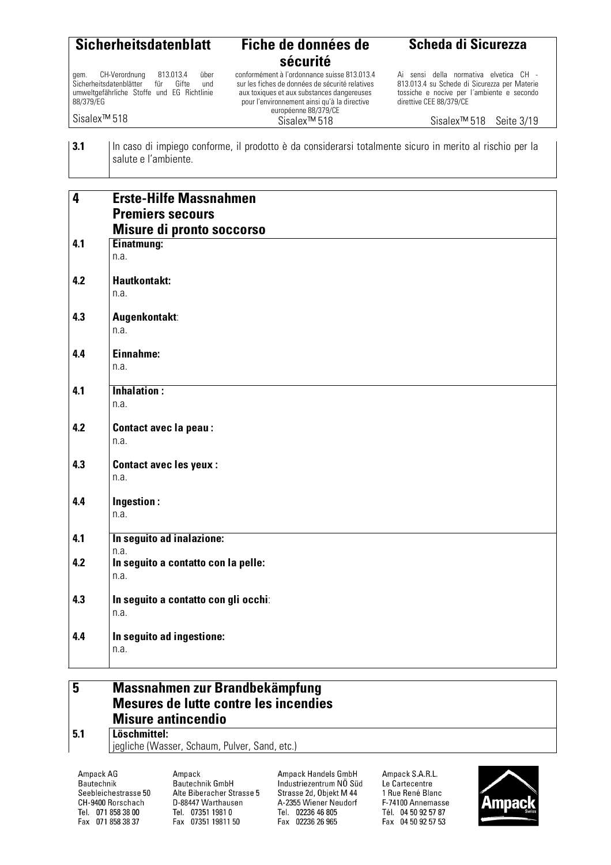| <b>Sicherheitsdatenblatt</b>                                                                                                                      | Fiche de données de<br>sécurité                                                                                                                                                                                       | Scheda di Sicurezza                                                                                                                                             |
|---------------------------------------------------------------------------------------------------------------------------------------------------|-----------------------------------------------------------------------------------------------------------------------------------------------------------------------------------------------------------------------|-----------------------------------------------------------------------------------------------------------------------------------------------------------------|
| CH-Verordnung<br>813.013.4<br>über<br>qem.<br>Sicherheitsdatenblätter für Gifte<br>und<br>umweltgefährliche Stoffe und EG Richtlinie<br>88/379/EG | conformément à l'ordonnance suisse 813.013.4<br>sur les fiches de données de sécurité relatives<br>aux toxiques et aux substances dangereuses<br>pour l'environnement ainsi qu'à la directive<br>européenne 88/379/CE | Ai sensi della normativa elvetica CH -<br>813.013.4 su Schede di Sicurezza per Materie<br>tossiche e nocive per l'ambiente e secondo<br>direttive CEE 88/379/CE |
| Sisalex <sup>™</sup> 518                                                                                                                          | Sisalex <sup>™</sup> 518                                                                                                                                                                                              | Sisalex <sup>™</sup> 518<br>Seite 3/19                                                                                                                          |
| 3.1<br>In caso di impiego conforme, il prodotto è da considerarsi totalmente sicuro in merito al rischio per la<br>salute e l'ambiente.           |                                                                                                                                                                                                                       |                                                                                                                                                                 |
| -----                                                                                                                                             |                                                                                                                                                                                                                       |                                                                                                                                                                 |

| $\boldsymbol{4}$ | <b>Erste-Hilfe Massnahmen</b>                |
|------------------|----------------------------------------------|
|                  | <b>Premiers secours</b>                      |
|                  | Misure di pronto soccorso                    |
| 4.1              | Einatmung:                                   |
|                  | n.a.                                         |
|                  |                                              |
| 4.2              | <b>Hautkontakt:</b>                          |
|                  | n.a.                                         |
| 4.3              | Augenkontakt:                                |
|                  | n.a.                                         |
|                  |                                              |
| 4.4              | Einnahme:                                    |
|                  | n.a.                                         |
| 4.1              | <b>Inhalation:</b>                           |
|                  | n.a.                                         |
|                  |                                              |
| 4.2              | <b>Contact avec la peau:</b>                 |
|                  | n.a.                                         |
| 4.3              | <b>Contact avec les yeux:</b>                |
|                  | n.a.                                         |
|                  |                                              |
| 4.4              | Ingestion:                                   |
|                  | n.a.                                         |
| 4.1              | In seguito ad inalazione:                    |
|                  | n.a.                                         |
| 4.2              | In seguito a contatto con la pelle:          |
|                  | n.a.                                         |
| 4.3              |                                              |
|                  | In seguito a contatto con gli occhi:<br>n.a. |
|                  |                                              |
| 4.4              | In seguito ad ingestione:                    |
|                  | n.a.                                         |
|                  |                                              |

#### **5 Massnahmen zur Brandbekämpfung Mesures de lutte contre les incendies Misure antincendio 5.1 Löschmittel:**

jegliche (Wasser, Schaum, Pulver, Sand, etc.)

Ampack AG Bautechnik Seebleichestrasse 50 CH-9400 Rorschach Tel. 071 858 38 00 Fax 071 858 38 37

Ampack Bautechnik GmbH Alte Biberacher Strasse 5 D-88447 Warthausen Tel. 07351 1981 0 Fax 07351 19811 50

Ampack Handels GmbH Industriezentrum NÖ Süd Strasse 2d, Objekt M 44 A-2355 Wiener Neudorf Tel. 02236 46 805 Fax 02236 26 965

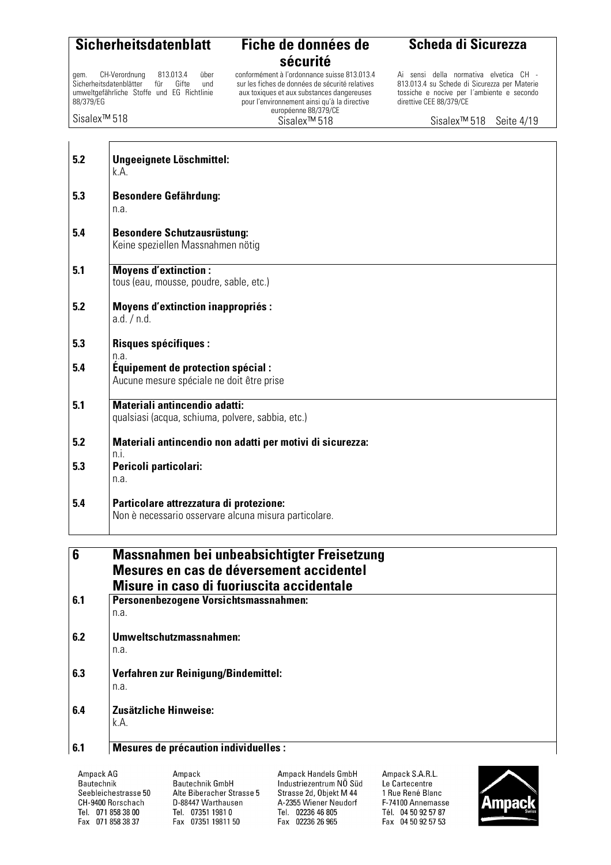gem. CH-Verordnung 813.013.4 über<br>Sicherheitsdatenblätter für Gifte und Sicherheitsdatenblätter umweltgefährliche Stoffe und EG Richtlinie 88/379/EG

Sisalex™ 518

### **sécurité**

conformément à l'ordonnance suisse 813.013.4 sur les fiches de données de sécurité relatives aux toxiques et aux substances dangereuses pour l'environnement ainsi qu'à la directive européenne 88/379/CE Sisalex™ 518

#### **Scheda di Sicurezza**

Ai sensi della normativa elvetica CH - 813.013.4 su Schede di Sicurezza per Materie tossiche e nocive per l´ambiente e secondo direttive CEE 88/379/CE

Sisalex™ 518 Seite 4/19

| 5.2 | Ungeeignete Löschmittel:<br>k.A.                                                                 |
|-----|--------------------------------------------------------------------------------------------------|
| 5.3 | <b>Besondere Gefährdung:</b><br>n.a.                                                             |
| 5.4 | <b>Besondere Schutzausrüstung:</b><br>Keine speziellen Massnahmen nötig                          |
| 5.1 | <b>Moyens d'extinction:</b><br>tous (eau, mousse, poudre, sable, etc.)                           |
| 5.2 | <b>Moyens d'extinction inappropriés:</b><br>a.d. / n.d.                                          |
| 5.3 | <b>Risques spécifiques:</b><br>n.a.                                                              |
| 5.4 | Équipement de protection spécial :<br>Aucune mesure spéciale ne doit être prise                  |
| 5.1 | Materiali antincendio adatti:<br>qualsiasi (acqua, schiuma, polvere, sabbia, etc.)               |
| 5.2 | Materiali antincendio non adatti per motivi di sicurezza:<br>n.i.                                |
| 5.3 | Pericoli particolari:<br>n.a.                                                                    |
| 5.4 | Particolare attrezzatura di protezione:<br>Non è necessario osservare alcuna misura particolare. |
|     |                                                                                                  |
| 6   | Massnahmen bei unbeabsichtigter Freisetzung<br>Mesures en cas de déversement accidentel          |

|     | Mesures en cas de déversement accidentel<br>Misure in caso di fuoriuscita accidentale |
|-----|---------------------------------------------------------------------------------------|
| 6.1 | Personenbezogene Vorsichtsmassnahmen:                                                 |
|     | n.a.                                                                                  |
| 6.2 | Umweltschutzmassnahmen:                                                               |
|     | n.a.                                                                                  |
| 6.3 | <b>Verfahren zur Reinigung/Bindemittel:</b>                                           |
|     | n.a.                                                                                  |
| 6.4 | Zusätzliche Hinweise:                                                                 |
|     | k.A.                                                                                  |
| C 1 | Monurae de prépoution individualles                                                   |

#### **6.1 Mesures de précaution individuelles :**

Ampack AG Bautechnik Seebleichestrasse 50 CH-9400 Rorschach Tel. 071 858 38 00 Fax 071 858 38 37

Ampack Bautechnik GmbH Alte Biberacher Strasse 5 D-88447 Warthausen Tel. 07351 1981 0 Fax 07351 19811 50

Ampack Handels GmbH Industriezentrum NÖ Süd Strasse 2d, Objekt M 44 A-2355 Wiener Neudorf Tel. 02236 46 805 Fax 02236 26 965

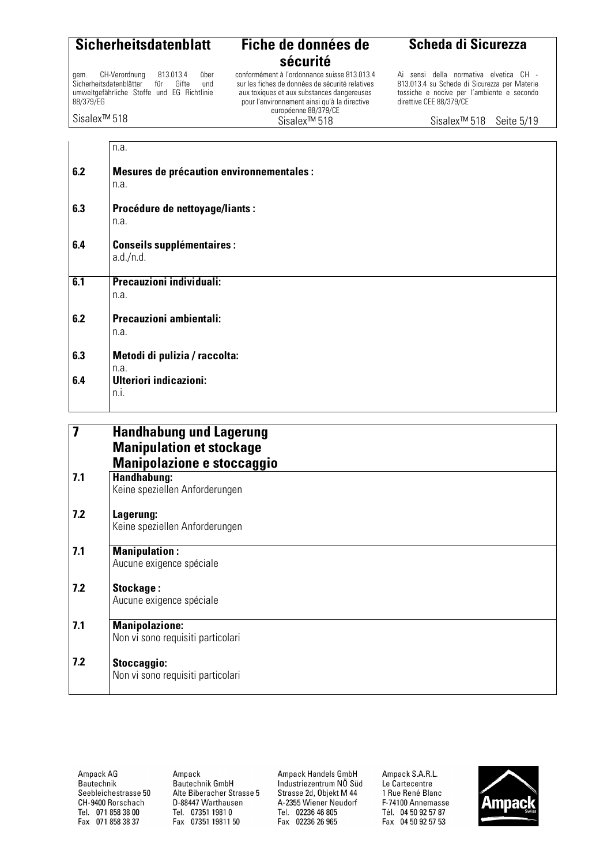gem. CH-Verordnung 813.013.4 über<br>Sicherheitsdatenblätter für Gifte und Sicherheitsdatenblätter umweltgefährliche Stoffe und EG Richtlinie 88/379/EG

Sisalex™ 518

### **sécurité**

conformément à l'ordonnance suisse 813.013.4 sur les fiches de données de sécurité relatives aux toxiques et aux substances dangereuses pour l'environnement ainsi qu'à la directive européenne 88/379/CE Sisalex™ 518

**Scheda di Sicurezza**

Ai sensi della normativa elvetica CH - 813.013.4 su Schede di Sicurezza per Materie tossiche e nocive per l´ambiente e secondo direttive CEE 88/379/CE

Sisalex™ 518 Seite 5/19

|                         | n.a.                                              |
|-------------------------|---------------------------------------------------|
| 6.2                     | Mesures de précaution environnementales :<br>n.a. |
| 6.3                     | Procédure de nettoyage/liants :                   |
|                         | n.a.                                              |
| 6.4                     | <b>Conseils supplémentaires:</b>                  |
|                         | a.d./n.d.                                         |
| 6.1                     | Precauzioni individuali:                          |
|                         | n.a.                                              |
| 6.2                     | Precauzioni ambientali:                           |
|                         | n.a.                                              |
| 6.3                     | Metodi di pulizia / raccolta:                     |
|                         | n.a.                                              |
| 6.4                     | <b>Ulteriori indicazioni:</b><br>n.i.             |
|                         |                                                   |
| $\overline{\mathbf{7}}$ | <b>Handhabung und Lagerung</b>                    |
|                         |                                                   |

| $\overline{\mathbf{z}}$ | <b>Handhabung und Lagerung</b>    |
|-------------------------|-----------------------------------|
|                         | <b>Manipulation et stockage</b>   |
|                         | Manipolazione e stoccaggio        |
| 7.1                     | Handhabung:                       |
|                         | Keine speziellen Anforderungen    |
| 7.2                     | Lagerung:                         |
|                         | Keine speziellen Anforderungen    |
| 7.1                     | <b>Manipulation:</b>              |
|                         | Aucune exigence spéciale          |
| 7.2                     | Stockage:                         |
|                         | Aucune exigence spéciale          |
| 7.1                     | <b>Manipolazione:</b>             |
|                         | Non vi sono requisiti particolari |
| 7.2                     | Stoccaggio:                       |
|                         | Non vi sono requisiti particolari |
|                         |                                   |

Ampack AG Bautechnik Seebleichestrasse 50 CH-9400 Rorschach Tel. 071 858 38 00 Fax 071 858 38 37

Ampack Bautechnik GmbH Alte Biberacher Strasse 5 D-88447 Warthausen Tel. 07351 1981 0 Fax 07351 19811 50

Ampack Handels GmbH Industriezentrum NÖ Süd Strasse 2d, Objekt M 44 A-2355 Wiener Neudorf Tel. 02236 46 805 Fax 02236 26 965

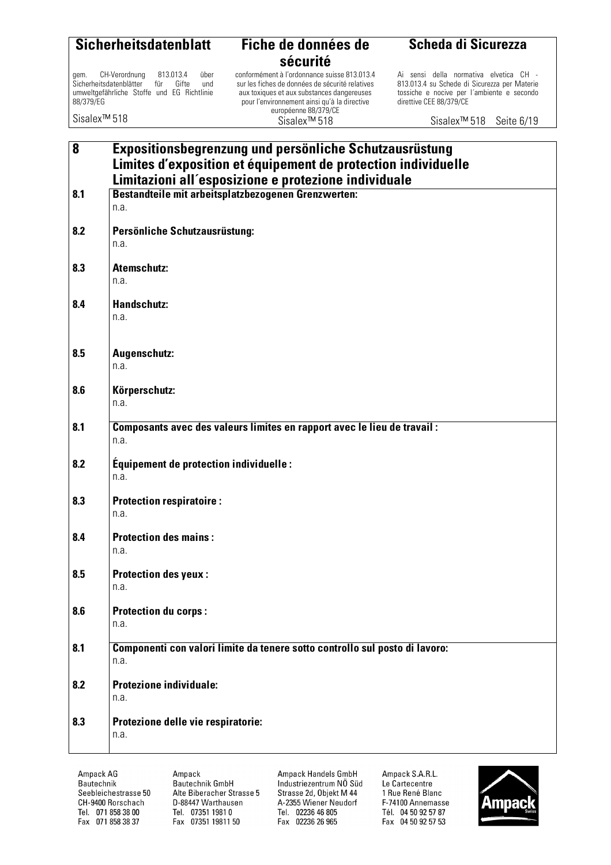|--|

#### **Fiche de données de sécurité**  conformément à l'ordonnance suisse 813.013.4

sur les fiches de données de sécurité relatives aux toxiques et aux substances dangereuses pour l'environnement ainsi qu'à la directive européenne 88/379/CE Sisalex™ 518

gem. CH-Verordnung 813.013.4 über<br>Sicherheitsdatenblätter für Gifte und Sicherheitsdatenblätter umweltgefährliche Stoffe und EG Richtlinie 88/379/EG

Sisalex™ 518

### **Scheda di Sicurezza**

Ai sensi della normativa elvetica CH - 813.013.4 su Schede di Sicurezza per Materie tossiche e nocive per l´ambiente e secondo direttive CEE 88/379/CE

Sisalex™ 518 Seite 6/19

| 8   | Expositionsbegrenzung und persönliche Schutzausrüstung<br>Limites d'exposition et équipement de protection individuelle<br>Limitazioni all'esposizione e protezione individuale |
|-----|---------------------------------------------------------------------------------------------------------------------------------------------------------------------------------|
| 8.1 | Bestandteile mit arbeitsplatzbezogenen Grenzwerten:<br>n.a.                                                                                                                     |
| 8.2 | Persönliche Schutzausrüstung:<br>n.a.                                                                                                                                           |
| 8.3 | <b>Atemschutz:</b><br>n.a.                                                                                                                                                      |
| 8.4 | <b>Handschutz:</b><br>n.a.                                                                                                                                                      |
| 8.5 | Augenschutz:<br>n.a.                                                                                                                                                            |
| 8.6 | Körperschutz:<br>n.a.                                                                                                                                                           |
| 8.1 | Composants avec des valeurs limites en rapport avec le lieu de travail :<br>n.a.                                                                                                |
| 8.2 | Équipement de protection individuelle :<br>n.a.                                                                                                                                 |
| 8.3 | <b>Protection respiratoire:</b><br>n.a.                                                                                                                                         |
| 8.4 | <b>Protection des mains:</b><br>n.a.                                                                                                                                            |
| 8.5 | <b>Protection des yeux:</b><br>n.a.                                                                                                                                             |
| 8.6 | <b>Protection du corps:</b><br>n.a.                                                                                                                                             |
| 8.1 | Componenti con valori limite da tenere sotto controllo sul posto di lavoro:<br>n.a.                                                                                             |
| 8.2 | <b>Protezione individuale:</b><br>n.a.                                                                                                                                          |
| 8.3 | Protezione delle vie respiratorie:<br>n.a.                                                                                                                                      |

Ampack AG Bautechnik Seebleichestrasse 50 CH-9400 Rorschach Tel. 071 858 38 00 Fax 071 858 38 37

Ampack Bautechnik GmbH Alte Biberacher Strasse 5 D-88447 Warthausen Tel. 07351 1981 0 Fax 07351 19811 50

Ampack Handels GmbH Industriezentrum NÖ Süd Strasse 2d, Objekt M 44 A-2355 Wiener Neudorf Tel. 02236 46 805 Fax 02236 26 965

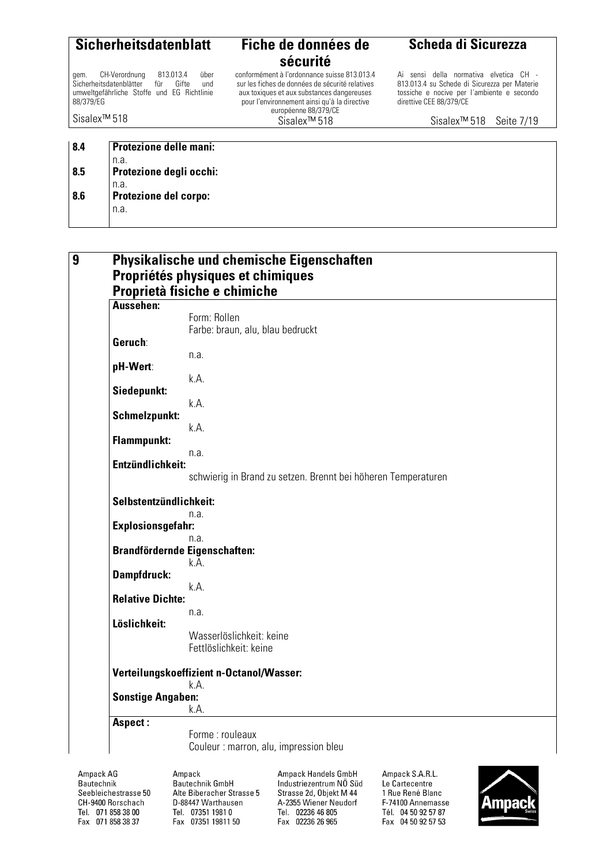gem. CH-Verordnung 813.013.4 über<br>Sicherheitsdatenblätter für Gifte und Sicherheitsdatenblätter umweltgefährliche Stoffe und EG Richtlinie 88/379/EG

Sisalex™ 518

### **sécurité**

conformément à l'ordonnance suisse 813.013.4 sur les fiches de données de sécurité relatives aux toxiques et aux substances dangereuses pour l'environnement ainsi qu'à la directive européenne 88/379/CE Sisalex™ 518

#### **Scheda di Sicurezza**

Ai sensi della normativa elvetica CH - 813.013.4 su Schede di Sicurezza per Materie tossiche e nocive per l´ambiente e secondo direttive CEE 88/379/CE

Sisalex™ 518 Seite 7/19

| 8.4 | <b>Protezione delle mani:</b> |
|-----|-------------------------------|
|     | n.a.                          |
| 8.5 | Protezione degli occhi:       |
|     | n.a.                          |
| 8.6 | <b>Protezione del corpo:</b>  |
|     | n.a.                          |
|     |                               |

| Aussehen:                | Proprietà fisiche e chimiche                                  |
|--------------------------|---------------------------------------------------------------|
|                          | Form: Rollen                                                  |
|                          | Farbe: braun, alu, blau bedruckt                              |
| Geruch:                  |                                                               |
|                          | n.a.                                                          |
| pH-Wert:                 |                                                               |
|                          | k.A.                                                          |
| Siedepunkt:              |                                                               |
|                          | k.A.                                                          |
| Schmelzpunkt:            | k.A.                                                          |
| <b>Flammpunkt:</b>       |                                                               |
|                          | n.a.                                                          |
| Entzündlichkeit:         |                                                               |
|                          | schwierig in Brand zu setzen. Brennt bei höheren Temperaturen |
|                          |                                                               |
| Selbstentzündlichkeit:   |                                                               |
|                          | n.a.                                                          |
| <b>Explosionsgefahr:</b> |                                                               |
|                          | n.a.                                                          |
|                          | <b>Brandfördernde Eigenschaften:</b><br>k.A.                  |
| Dampfdruck:              |                                                               |
|                          | k.A.                                                          |
| <b>Relative Dichte:</b>  |                                                               |
|                          | n.a.                                                          |
| Löslichkeit:             |                                                               |
|                          | Wasserlöslichkeit: keine                                      |
|                          | Fettlöslichkeit: keine                                        |
|                          |                                                               |
|                          | Verteilungskoeffizient n-Octanol/Wasser:<br>k.A.              |
| <b>Sonstige Angaben:</b> |                                                               |
|                          | k.A.                                                          |
| Aspect:                  |                                                               |

Ampack AG Bautechnik Seebleichestrasse 50 CH-9400 Rorschach Tel. 071 858 38 00 Fax 071 858 38 37

Ampack Bautechnik GmbH Alte Biberacher Strasse 5 D-88447 Warthausen Tel. 07351 1981 0 Fax 07351 19811 50

Ampack Handels GmbH Industriezentrum NÖ Süd Strasse 2d, Objekt M 44 A-2355 Wiener Neudorf Tel. 02236 46 805 Fax 02236 26 965

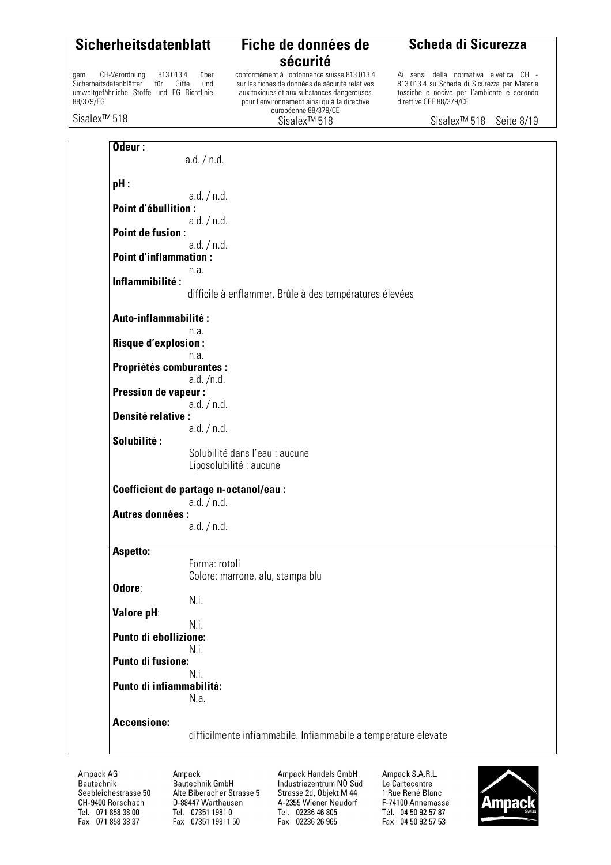gem. CH-Verordnung 813.013.4 über<br>Sicherheitsdatenblätter für Gifte und Sicherheitsdatenblätter umweltgefährliche Stoffe und EG Richtlinie 88/379/EG

#### **Sicherheitsdatenblatt Fiche de données de sécurité**

conformément à l'ordonnance suisse 813.013.4 sur les fiches de données de sécurité relatives aux toxiques et aux substances dangereuses pour l'environnement ainsi qu'à la directive européenne 88/379/CE Sisalex™ 518

#### **Scheda di Sicurezza**

Ai sensi della normativa elvetica CH - 813.013.4 su Schede di Sicurezza per Materie tossiche e nocive per l´ambiente e secondo direttive CEE 88/379/CE

Sisalex™ 518

Sisalex™ 518 Seite 8/19

| Odeur:                         | a.d. / n.d.                                                    |
|--------------------------------|----------------------------------------------------------------|
| pH:                            |                                                                |
| <b>Point d'ébullition:</b>     | a.d. / n.d.                                                    |
|                                | a.d. / n.d.                                                    |
| <b>Point de fusion:</b>        |                                                                |
| <b>Point d'inflammation:</b>   | a.d. / n.d.                                                    |
|                                | n.a.                                                           |
| Inflammibilité:                | difficile à enflammer. Brûle à des températures élevées        |
| <b>Auto-inflammabilité:</b>    |                                                                |
| <b>Risque d'explosion:</b>     | n.a.                                                           |
|                                | n.a.                                                           |
| <b>Propriétés comburantes:</b> | a.d. /n.d.                                                     |
| <b>Pression de vapeur:</b>     |                                                                |
| <b>Densité relative:</b>       | a.d. / n.d.                                                    |
|                                | a.d. / n.d.                                                    |
| Solubilité:                    | Solubilité dans l'eau : aucune                                 |
|                                | Liposolubilité : aucune                                        |
|                                | Coefficient de partage n-octanol/eau :                         |
| <b>Autres données:</b>         | a.d. / n.d.                                                    |
|                                | a.d. / n.d.                                                    |
| Aspetto:                       |                                                                |
|                                | Forma: rotoli                                                  |
| Odore:                         | Colore: marrone, alu, stampa blu                               |
|                                | N.i.                                                           |
| Valore pH:                     | N.i.                                                           |
| <b>Punto di ebollizione:</b>   |                                                                |
| Punto di fusione:              | N.i.                                                           |
|                                | N.i.                                                           |
| Punto di infiammabilità:       | N.a.                                                           |
| <b>Accensione:</b>             |                                                                |
|                                | difficilmente infiammabile. Infiammabile a temperature elevate |
|                                |                                                                |

Ampack AG Bautechnik Seebleichestrasse 50 CH-9400 Rorschach Tel. 071 858 38 00 Fax 071 858 38 37

Ampack Bautechnik GmbH Alte Biberacher Strasse 5 D-88447 Warthausen Tel. 07351 1981 0 Fax 07351 19811 50

Ampack Handels GmbH Industriezentrum NÖ Süd Strasse 2d, Objekt M 44 A-2355 Wiener Neudorf Tel. 02236 46 805 Fax 02236 26 965

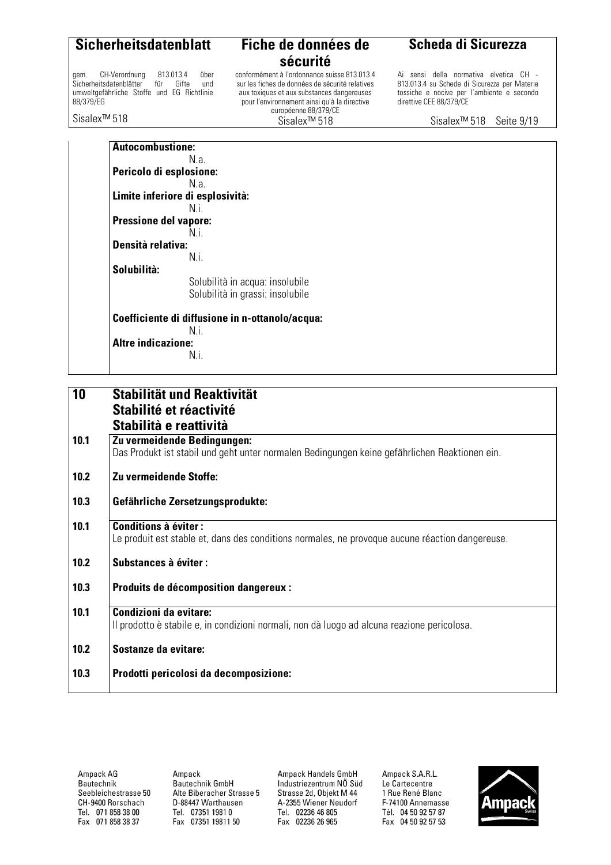gem. CH-Verordnung 813.013.4 über<br>Sicherheitsdatenblätter für Gifte und Sicherheitsdatenblätter umweltgefährliche Stoffe und EG Richtlinie 88/379/EG

Sisalex™ 518

### **sécurité**

conformément à l'ordonnance suisse 813.013.4 sur les fiches de données de sécurité relatives aux toxiques et aux substances dangereuses pour l'environnement ainsi qu'à la directive européenne 88/379/CE Sisalex™ 518

#### **Scheda di Sicurezza**

Ai sensi della normativa elvetica CH - 813.013.4 su Schede di Sicurezza per Materie tossiche e nocive per l´ambiente e secondo direttive CEE 88/379/CE

Sisalex™ 518 Seite 9/19

**Autocombustione:**  N.a. **Pericolo di esplosione:**  N.a. **Limite inferiore di esplosività:**  N.i. **Pressione del vapore:**  N.i. **Densità relativa:**  N.i. **Solubilità:**  Solubilità in acqua: insolubile Solubilità in grassi: insolubile **Coefficiente di diffusione in n-ottanolo/acqua:**  N.i. **Altre indicazione:**  N.i.

| 10   | Stabilität und Reaktivität<br>Stabilité et réactivité<br>Stabilità e reattività                                                |
|------|--------------------------------------------------------------------------------------------------------------------------------|
| 10.1 | Zu vermeidende Bedingungen:<br>Das Produkt ist stabil und geht unter normalen Bedingungen keine gefährlichen Reaktionen ein.   |
| 10.2 | Zu vermeidende Stoffe:                                                                                                         |
| 10.3 | Gefährliche Zersetzungsprodukte:                                                                                               |
| 10.1 | <b>Conditions à éviter:</b><br>Le produit est stable et, dans des conditions normales, ne provoque aucune réaction dangereuse. |
| 10.2 | <b>Substances à éviter:</b>                                                                                                    |
| 10.3 | Produits de décomposition dangereux :                                                                                          |
| 10.1 | Condizioni da evitare:<br>Il prodotto è stabile e, in condizioni normali, non dà luogo ad alcuna reazione pericolosa.          |
| 10.2 | Sostanze da evitare:                                                                                                           |
| 10.3 | Prodotti pericolosi da decomposizione:                                                                                         |

Ampack AG Bautechnik Seebleichestrasse 50 CH-9400 Rorschach Tel. 071 858 38 00 Fax 071 858 38 37

Amnack Bautechnik GmbH Alte Biberacher Strasse 5 D-88447 Warthausen Tel. 07351 1981 0 Fax 07351 19811 50

Ampack Handels GmbH Industriezentrum NÖ Süd Strasse 2d, Objekt M 44 A-2355 Wiener Neudorf Tel. 02236 46 805 Fax 02236 26 965

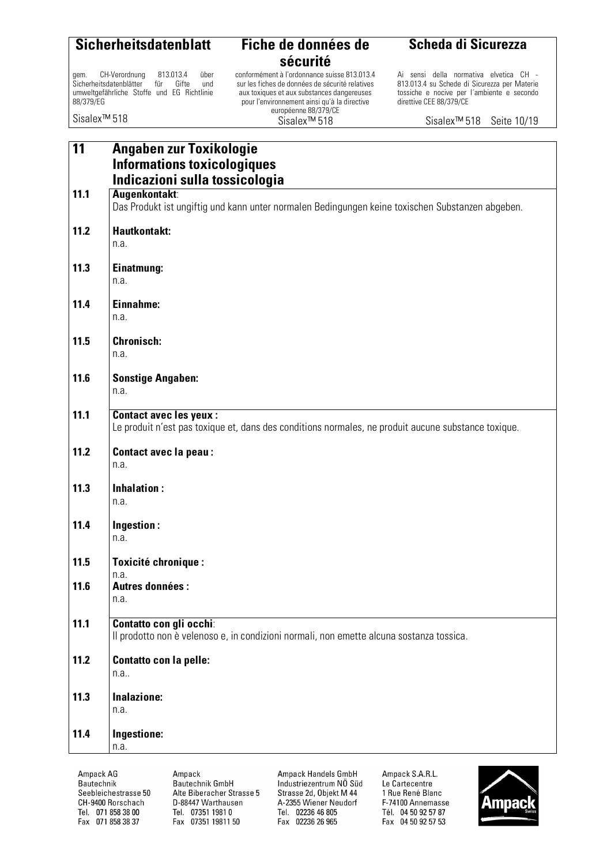### **sécurité**  conformément à l'ordonnance suisse 813.013.4

sur les fiches de données de sécurité relatives aux toxiques et aux substances dangereuses pour l'environnement ainsi qu'à la directive européenne 88/379/CE Sisalex™ 518

gem. CH-Verordnung 813.013.4 über<br>Sicherheitsdatenblätter für Gifte und Sicherheitsdatenblätter umweltgefährliche Stoffe und EG Richtlinie 88/379/EG

Sisalex™ 518

#### **Scheda di Sicurezza**

Ai sensi della normativa elvetica CH - 813.013.4 su Schede di Sicurezza per Materie tossiche e nocive per l´ambiente e secondo direttive CEE 88/379/CE

Sisalex™ 518 Seite 10/19

| 11   | Angaben zur Toxikologie                                                                             |
|------|-----------------------------------------------------------------------------------------------------|
|      | <b>Informations toxicologiques</b>                                                                  |
|      | Indicazioni sulla tossicologia                                                                      |
| 11.1 | Augenkontakt:                                                                                       |
|      | Das Produkt ist ungiftig und kann unter normalen Bedingungen keine toxischen Substanzen abgeben.    |
|      |                                                                                                     |
| 11.2 | <b>Hautkontakt:</b>                                                                                 |
|      | n.a.                                                                                                |
|      |                                                                                                     |
| 11.3 | Einatmung:                                                                                          |
|      | n.a.                                                                                                |
|      |                                                                                                     |
| 11.4 | Einnahme:                                                                                           |
|      | n.a.                                                                                                |
|      |                                                                                                     |
| 11.5 | <b>Chronisch:</b>                                                                                   |
|      | n.a.                                                                                                |
|      |                                                                                                     |
| 11.6 | <b>Sonstige Angaben:</b>                                                                            |
|      | n.a.                                                                                                |
|      |                                                                                                     |
| 11.1 | <b>Contact avec les yeux:</b>                                                                       |
|      | Le produit n'est pas toxique et, dans des conditions normales, ne produit aucune substance toxique. |
| 11.2 | <b>Contact avec la peau:</b>                                                                        |
|      | n.a.                                                                                                |
|      |                                                                                                     |
| 11.3 | Inhalation:                                                                                         |
|      | n.a.                                                                                                |
|      |                                                                                                     |
| 11.4 | Ingestion:                                                                                          |
|      | n.a.                                                                                                |
|      |                                                                                                     |
| 11.5 | <b>Toxicité chronique:</b>                                                                          |
|      | n.a.                                                                                                |
| 11.6 | <b>Autres données:</b>                                                                              |
|      | n.a.                                                                                                |
|      |                                                                                                     |
| 11.1 | Contatto con gli occhi:                                                                             |
|      | Il prodotto non è velenoso e, in condizioni normali, non emette alcuna sostanza tossica.            |
|      |                                                                                                     |
| 11.2 | <b>Contatto con la pelle:</b>                                                                       |
|      | n.a                                                                                                 |
|      |                                                                                                     |
| 11.3 | Inalazione:                                                                                         |
|      | n.a.                                                                                                |
|      |                                                                                                     |
| 11.4 | Ingestione:                                                                                         |
|      | n.a.                                                                                                |
|      |                                                                                                     |

Ampack AG Bautechnik Seebleichestrasse 50 CH-9400 Rorschach Tel. 071 858 38 00 Fax 071 858 38 37

Ampack Bautechnik GmbH Alte Biberacher Strasse 5 D-88447 Warthausen Tel. 07351 1981 0 Fax 07351 19811 50

Ampack Handels GmbH Industriezentrum NÖ Süd Strasse 2d, Objekt M 44 A-2355 Wiener Neudorf Tel. 02236 46 805 Fax 02236 26 965

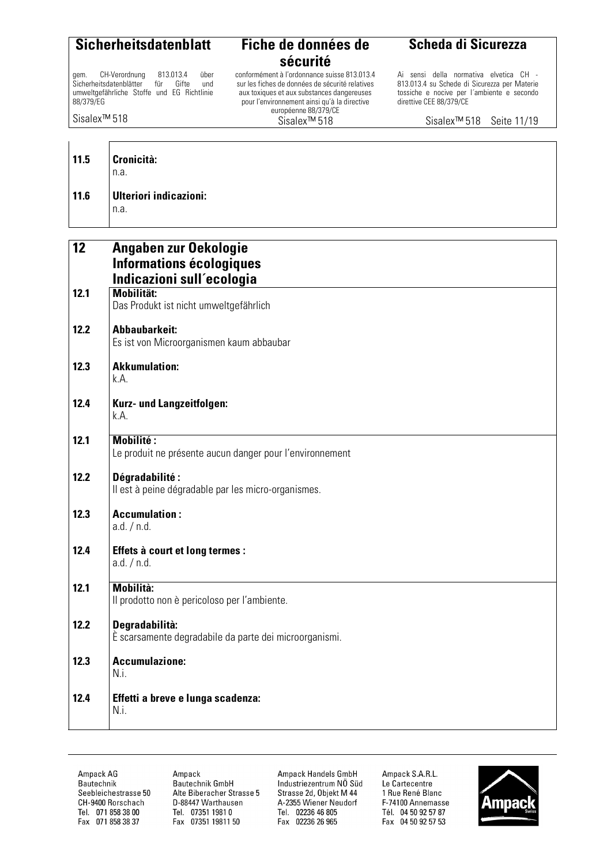gem. CH-Verordnung 813.013.4 über<br>Sicherheitsdatenblätter für Gifte und Sicherheitsdatenblätter umweltgefährliche Stoffe und EG Richtlinie 88/379/EG

**12 Angaben zur Oekologie** 

**sécurité** 

conformément à l'ordonnance suisse 813.013.4 sur les fiches de données de sécurité relatives aux toxiques et aux substances dangereuses pour l'environnement ainsi qu'à la directive européenne 88/379/CE Sisalex™ 518

**Scheda di Sicurezza**

Ai sensi della normativa elvetica CH - 813.013.4 su Schede di Sicurezza per Materie tossiche e nocive per l´ambiente e secondo direttive CEE 88/379/CE

Sisalex™ 518

Sisalex™ 518 Seite 11/19

| $11.5$ | <b>Cronicità:</b><br>n.a.      |
|--------|--------------------------------|
| $11.6$ | Ulteriori indicazioni:<br>n.a. |

|      | <b>Informations écologiques</b><br>Indicazioni sull'ecologia                 |
|------|------------------------------------------------------------------------------|
| 12.1 | <b>Mobilität:</b><br>Das Produkt ist nicht umweltgefährlich                  |
| 12.2 | <b>Abbaubarkeit:</b><br>Es ist von Microorganismen kaum abbaubar             |
| 12.3 | <b>Akkumulation:</b><br>k.A.                                                 |
| 12.4 | Kurz- und Langzeitfolgen:<br>k.A.                                            |
| 12.1 | <b>Mobilité:</b><br>Le produit ne présente aucun danger pour l'environnement |
| 12.2 | Dégradabilité:<br>Il est à peine dégradable par les micro-organismes.        |
| 12.3 | <b>Accumulation:</b><br>a.d. / n.d.                                          |
| 12.4 | Effets à court et long termes :<br>a.d. / n.d.                               |
| 12.1 | <b>Mobilità:</b><br>Il prodotto non è pericoloso per l'ambiente.             |
| 12.2 | Degradabilità:<br>È scarsamente degradabile da parte dei microorganismi.     |
| 12.3 | <b>Accumulazione:</b><br>N.i.                                                |
| 12.4 | Effetti a breve e lunga scadenza:<br>N.i.                                    |

Ampack AG Bautechnik Seebleichestrasse 50 CH-9400 Rorschach Tel. 071 858 38 00 Fax 071 858 38 37

Ampack Bautechnik GmbH Alte Biberacher Strasse 5 D-88447 Warthausen Tel. 07351 1981 0 Fax 07351 19811 50

Ampack Handels GmbH Industriezentrum NÖ Süd Strasse 2d, Objekt M 44 A-2355 Wiener Neudorf Tel. 02236 46 805 Fax 02236 26 965

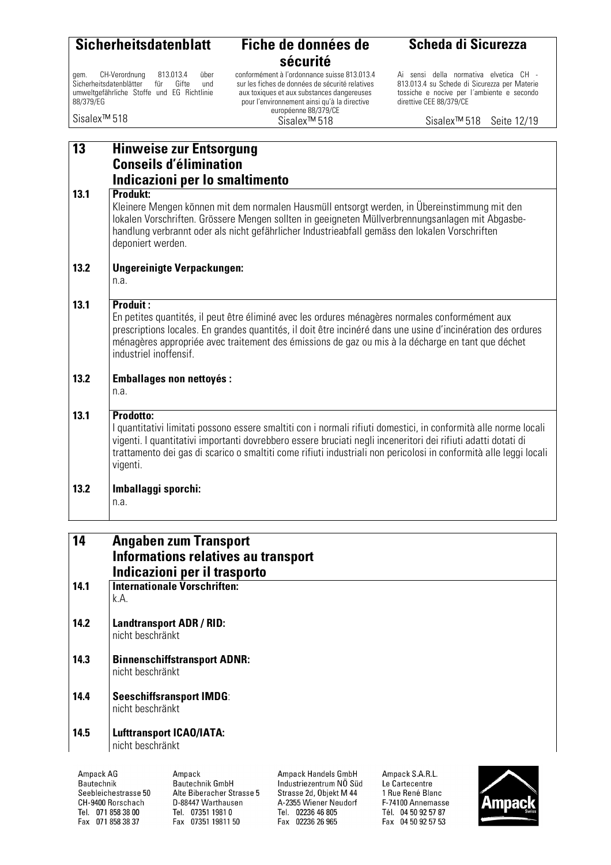gem. CH-Verordnung 813.013.4 über<br>Sicherheitsdatenblätter für Gifte und Sicherheitsdatenblätter umweltgefährliche Stoffe und EG Richtlinie 88/379/EG

Sisalex™ 518

### **sécurité**

conformément à l'ordonnance suisse 813.013.4 sur les fiches de données de sécurité relatives aux toxiques et aux substances dangereuses pour l'environnement ainsi qu'à la directive européenne 88/379/CE Sisalex™ 518

#### **Scheda di Sicurezza**

Ai sensi della normativa elvetica CH - 813.013.4 su Schede di Sicurezza per Materie tossiche e nocive per l´ambiente e secondo direttive CEE 88/379/CE

Sisalex™ 518 Seite 12/19

| 13   | <b>Hinweise zur Entsorgung</b>                                                                                                                                                                                                                                                                                                                                                  |  |  |
|------|---------------------------------------------------------------------------------------------------------------------------------------------------------------------------------------------------------------------------------------------------------------------------------------------------------------------------------------------------------------------------------|--|--|
|      | <b>Conseils d'élimination</b><br>Indicazioni per lo smaltimento                                                                                                                                                                                                                                                                                                                 |  |  |
| 13.1 | <b>Produkt:</b><br>Kleinere Mengen können mit dem normalen Hausmüll entsorgt werden, in Übereinstimmung mit den<br>lokalen Vorschriften. Grössere Mengen sollten in geeigneten Müllverbrennungsanlagen mit Abgasbe-<br>handlung verbrannt oder als nicht gefährlicher Industrieabfall gemäss den lokalen Vorschriften<br>deponiert werden.                                      |  |  |
| 13.2 | <b>Ungereinigte Verpackungen:</b><br>n.a.                                                                                                                                                                                                                                                                                                                                       |  |  |
| 13.1 | <b>Produit:</b><br>En petites quantités, il peut être éliminé avec les ordures ménagères normales conformément aux<br>prescriptions locales. En grandes quantités, il doit être incinéré dans une usine d'incinération des ordures<br>ménagères appropriée avec traitement des émissions de gaz ou mis à la décharge en tant que déchet<br>industriel inoffensif.               |  |  |
| 13.2 | <b>Emballages non nettoyés:</b><br>n.a.                                                                                                                                                                                                                                                                                                                                         |  |  |
| 13.1 | Prodotto:<br>I quantitativi limitati possono essere smaltiti con i normali rifiuti domestici, in conformità alle norme locali<br>vigenti. I quantitativi importanti dovrebbero essere bruciati negli inceneritori dei rifiuti adatti dotati di<br>trattamento dei gas di scarico o smaltiti come rifiuti industriali non pericolosi in conformità alle leggi locali<br>vigenti. |  |  |
| 13.2 | Imballaggi sporchi:<br>n.a.                                                                                                                                                                                                                                                                                                                                                     |  |  |
| 14   | <b>Angaben zum Transport</b>                                                                                                                                                                                                                                                                                                                                                    |  |  |
|      | Informations relatives au transport<br>Indicazioni per il trasporto                                                                                                                                                                                                                                                                                                             |  |  |
| 14.1 | Internationale Vorschriften:<br>k.A.                                                                                                                                                                                                                                                                                                                                            |  |  |

- **14.2 Landtransport ADR / RID:**  nicht beschränkt
- **14.3 Binnenschiffstransport ADNR:**  nicht beschränkt
- **14.4 Seeschiffsransport IMDG**: nicht beschränkt
- **14.5 Lufttransport ICAO/IATA:**  nicht beschränkt

Ampack AG Ampack Bautechnik GmbH Bautechnik Seebleichestrasse 50 Alte Biberacher Strasse 5 CH-9400 Rorschach D-88447 Warthausen Tel. 07351 1981 0 Tel. 071 858 38 00 Fax 071 858 38 37 Fax 07351 19811 50

Ampack Handels GmbH Industriezentrum NÖ Süd Strasse 2d, Objekt M 44 A-2355 Wiener Neudorf Tel. 02236 46 805 Fax 02236 26 965

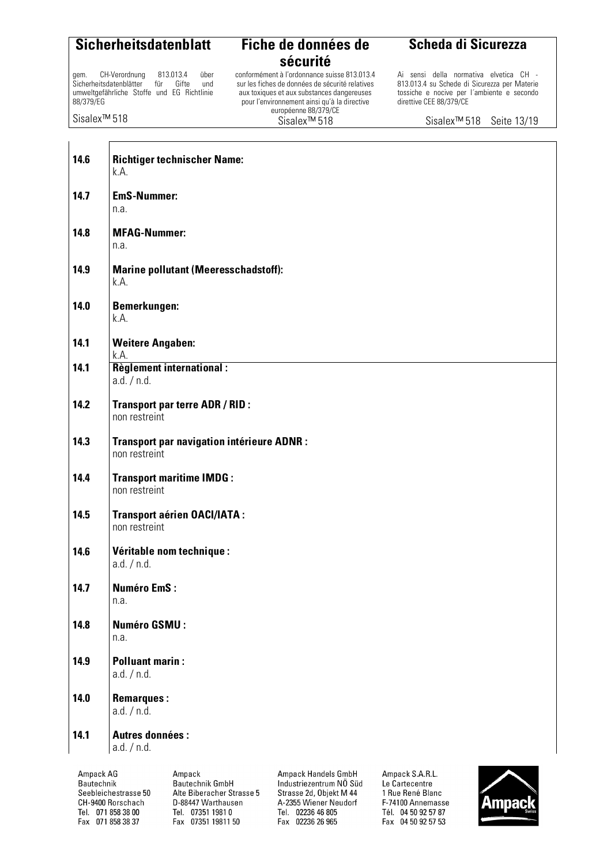gem. CH-Verordnung 813.013.4 über<br>Sicherheitsdatenblätter für Gifte und Sicherheitsdatenblätter umweltgefährliche Stoffe und EG Richtlinie 88/379/EG

Sisalex™ 518

ा

#### **Sicherheitsdatenblatt Fiche de données de sécurité**

conformément à l'ordonnance suisse 813.013.4 sur les fiches de données de sécurité relatives aux toxiques et aux substances dangereuses pour l'environnement ainsi qu'à la directive européenne 88/379/CE Sisalex™ 518

#### **Scheda di Sicurezza**

Ai sensi della normativa elvetica CH - 813.013.4 su Schede di Sicurezza per Materie tossiche e nocive per l´ambiente e secondo direttive CEE 88/379/CE

Sisalex™ 518 Seite 13/19

| 14.6      | <b>Richtiger technischer Name:</b><br>k.A.                  |                     |                 |  |
|-----------|-------------------------------------------------------------|---------------------|-----------------|--|
| 14.7      | <b>EmS-Nummer:</b><br>n.a.                                  |                     |                 |  |
| 14.8      | <b>MFAG-Nummer:</b><br>n.a.                                 |                     |                 |  |
| 14.9      | <b>Marine pollutant (Meeresschadstoff):</b><br>k.A.         |                     |                 |  |
| 14.0      | <b>Bemerkungen:</b><br>k.A.                                 |                     |                 |  |
| 14.1      | <b>Weitere Angaben:</b><br>k.A.                             |                     |                 |  |
| 14.1      | <b>Règlement international:</b><br>a.d. / n.d.              |                     |                 |  |
| 14.2      | <b>Transport par terre ADR / RID:</b><br>non restreint      |                     |                 |  |
| 14.3      | Transport par navigation intérieure ADNR :<br>non restreint |                     |                 |  |
| 14.4      | <b>Transport maritime IMDG:</b><br>non restreint            |                     |                 |  |
| 14.5      | <b>Transport aérien OACI/IATA:</b><br>non restreint         |                     |                 |  |
| 14.6      | Véritable nom technique :<br>a.d. / n.d.                    |                     |                 |  |
| 14.7      | <b>Numéro EmS:</b><br>n.a.                                  |                     |                 |  |
| 14.8      | <b>Numéro GSMU:</b><br>n.a.                                 |                     |                 |  |
| 14.9      | <b>Polluant marin:</b><br>a.d. / n.d.                       |                     |                 |  |
| 14.0      | <b>Remarques:</b><br>a.d. / n.d.                            |                     |                 |  |
| 14.1      | <b>Autres données:</b><br>a.d. / n.d.                       |                     |                 |  |
| Ampack AG | Ampack                                                      | Ampack Handels GmbH | Ampack S.A.R.L. |  |

Ampack AG Bautechnik Seebleichestrasse 50 CH-9400 Rorschach Tel. 071 858 38 00 Fax 071 858 38 37

Bautechnik GmbH Alte Biberacher Strasse 5 D-88447 Warthausen Tel. 07351 1981 0 Fax 07351 19811 50

Ampack Handels GmbH Industriezentrum NÖ Süd Strasse 2d, Objekt M 44 A-2355 Wiener Neudorf Tel. 02236 46 805 Fax 02236 26 965

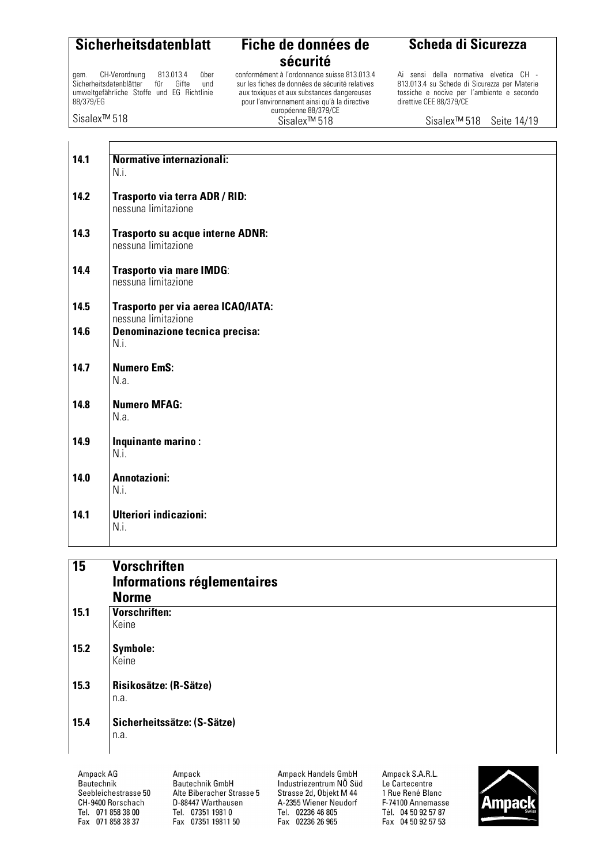gem. CH-Verordnung 813.013.4 über<br>Sicherheitsdatenblätter für Gifte und Sicherheitsdatenblätter umweltgefährliche Stoffe und EG Richtlinie 88/379/EG

Sisalex™ 518

 $\overline{1}$ 

### **sécurité**

conformément à l'ordonnance suisse 813.013.4 sur les fiches de données de sécurité relatives aux toxiques et aux substances dangereuses pour l'environnement ainsi qu'à la directive européenne 88/379/CE Sisalex™ 518

#### **Scheda di Sicurezza**

Ai sensi della normativa elvetica CH - 813.013.4 su Schede di Sicurezza per Materie tossiche e nocive per l´ambiente e secondo direttive CEE 88/379/CE

Sisalex™ 518 Seite 14/19

| 14.1 | Normative internazionali:<br>N.i.                         |
|------|-----------------------------------------------------------|
| 14.2 | Trasporto via terra ADR / RID:<br>nessuna limitazione     |
| 14.3 | Trasporto su acque interne ADNR:<br>nessuna limitazione   |
| 14.4 | Trasporto via mare IMDG:<br>nessuna limitazione           |
| 14.5 | Trasporto per via aerea ICAO/IATA:<br>nessuna limitazione |
| 14.6 | Denominazione tecnica precisa:<br>N.i.                    |
| 14.7 | <b>Numero EmS:</b><br>N.a.                                |
| 14.8 | <b>Numero MFAG:</b><br>N.a.                               |
| 14.9 | Inquinante marino:<br>N.i.                                |
| 14.0 | Annotazioni:<br>N.i.                                      |
| 14.1 | <b>Ulteriori indicazioni:</b><br>N.i.                     |

| $\overline{15}$ | <b>Vorschriften</b><br>Informations réglementaires |
|-----------------|----------------------------------------------------|
|                 | <b>Norme</b>                                       |
| 15.1            | Vorschriften:                                      |
|                 | Keine                                              |
| 15.2            | <b>Symbole:</b>                                    |
|                 | Keine                                              |
| 15.3            | Risikosätze: (R-Sätze)                             |
|                 | n.a.                                               |
| 15.4            | Sicherheitssätze: (S-Sätze)                        |
|                 | n.a.                                               |
|                 |                                                    |

Ampack AG Bautechnik Seebleichestrasse 50 CH-9400 Rorschach Tel. 071 858 38 00 Fax 071 858 38 37

Ampack Bautechnik GmbH Alte Biberacher Strasse 5 D-88447 Warthausen Tel. 07351 1981 0 Fax 07351 19811 50

Ampack Handels GmbH Industriezentrum NÖ Süd Strasse 2d, Objekt M 44 A-2355 Wiener Neudorf Tel. 02236 46 805 Fax 02236 26 965

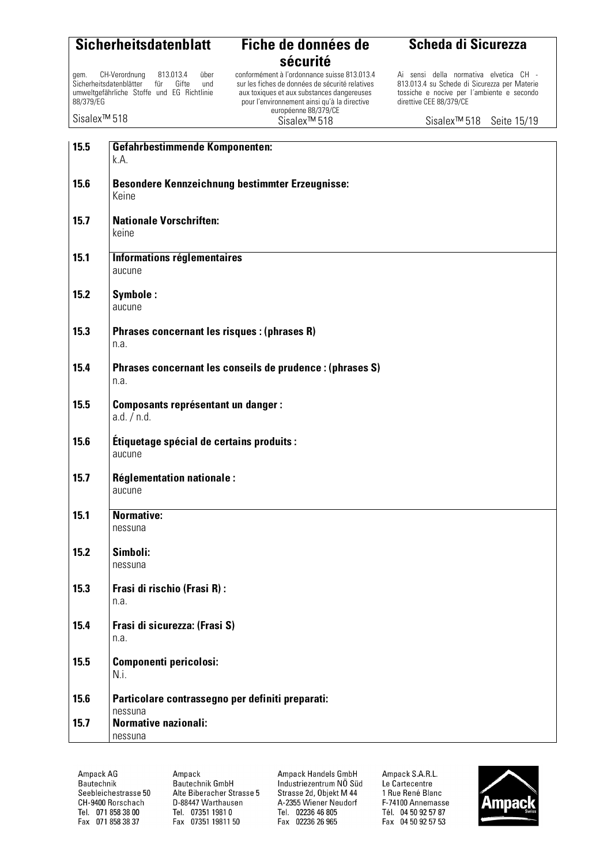gem. CH-Verordnung 813.013.4 über<br>Sicherheitsdatenblätter für Gifte und Sicherheitsdatenblätter umweltgefährliche Stoffe und EG Richtlinie 88/379/EG

Sisalex™ 518

### **sécurité**

conformément à l'ordonnance suisse 813.013.4 sur les fiches de données de sécurité relatives aux toxiques et aux substances dangereuses pour l'environnement ainsi qu'à la directive européenne 88/379/CE Sisalex™ 518

#### **Scheda di Sicurezza**

Ai sensi della normativa elvetica CH - 813.013.4 su Schede di Sicurezza per Materie tossiche e nocive per l´ambiente e secondo direttive CEE 88/379/CE

Sisalex™ 518 Seite 15/19

| 15.5 | <b>Gefahrbestimmende Komponenten:</b><br>k.A.                     |
|------|-------------------------------------------------------------------|
| 15.6 | <b>Besondere Kennzeichnung bestimmter Erzeugnisse:</b><br>Keine   |
| 15.7 | <b>Nationale Vorschriften:</b><br>keine                           |
| 15.1 | Informations réglementaires<br>aucune                             |
| 15.2 | Symbole:<br>aucune                                                |
| 15.3 | Phrases concernant les risques : (phrases R)<br>n.a.              |
| 15.4 | Phrases concernant les conseils de prudence : (phrases S)<br>n.a. |
| 15.5 | <b>Composants représentant un danger:</b><br>a.d. / n.d.          |
| 15.6 | Étiquetage spécial de certains produits :<br>aucune               |
| 15.7 | <b>Réglementation nationale:</b><br>aucune                        |
| 15.1 | <b>Normative:</b><br>nessuna                                      |
| 15.2 | Simboli:<br>nessuna                                               |
| 15.3 | Frasi di rischio (Frasi R):<br>n.a.                               |
| 15.4 | Frasi di sicurezza: (Frasi S)<br>n.a.                             |
| 15.5 | Componenti pericolosi:<br>N.i.                                    |
| 15.6 | Particolare contrassegno per definiti preparati:<br>nessuna       |
| 15.7 | <b>Normative nazionali:</b><br>nessuna                            |

Ampack AG Bautechnik Seebleichestrasse 50 CH-9400 Rorschach Tel. 071 858 38 00 Fax 071 858 38 37

Ampack Bautechnik GmbH Alte Biberacher Strasse 5 D-88447 Warthausen Tel. 07351 1981 0 Fax 07351 19811 50

Ampack Handels GmbH Industriezentrum NÖ Süd Strasse 2d, Objekt M 44 A-2355 Wiener Neudorf Tel. 02236 46 805 Fax 02236 26 965

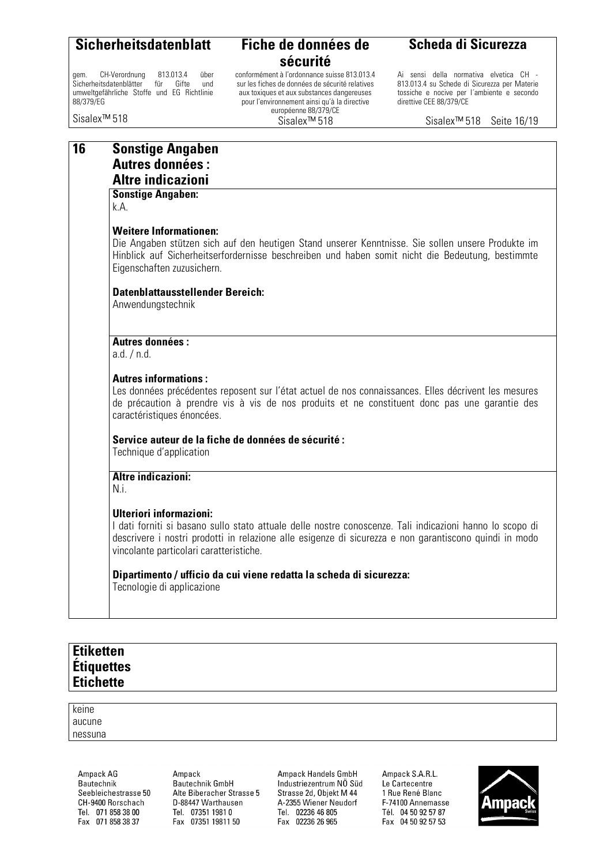gem. CH-Verordnung 813.013.4 über<br>Sicherheitsdatenblätter für Gifte und Sicherheitsdatenblätter umweltgefährliche Stoffe und EG Richtlinie 88/379/EG

Sisalex™ 518

### **sécurité**

conformément à l'ordonnance suisse 813.013.4 sur les fiches de données de sécurité relatives aux toxiques et aux substances dangereuses pour l'environnement ainsi qu'à la directive européenne 88/379/CE Sisalex™ 518

#### **Scheda di Sicurezza**

Ai sensi della normativa elvetica CH - 813.013.4 su Schede di Sicurezza per Materie tossiche e nocive per l´ambiente e secondo direttive CEE 88/379/CE

Sisalex™ 518 Seite 16/19

#### **16 Sonstige Angaben Autres données :**

#### **Altre indicazioni**

#### **Sonstige Angaben:**

k.A.

#### **Weitere Informationen:**

Die Angaben stützen sich auf den heutigen Stand unserer Kenntnisse. Sie sollen unsere Produkte im Hinblick auf Sicherheitserfordernisse beschreiben und haben somit nicht die Bedeutung, bestimmte Eigenschaften zuzusichern.

#### **Datenblattausstellender Bereich:**

Anwendungstechnik

#### **Autres données :**

a.d. / n.d.

#### **Autres informations :**

Les données précédentes reposent sur l'état actuel de nos connaissances. Elles décrivent les mesures de précaution à prendre vis à vis de nos produits et ne constituent donc pas une garantie des caractéristiques énoncées.

#### **Service auteur de la fiche de données de sécurité :**

Technique d'application

#### **Altre indicazioni:**

N.i.

#### **Ulteriori informazioni:**

I dati forniti si basano sullo stato attuale delle nostre conoscenze. Tali indicazioni hanno lo scopo di descrivere i nostri prodotti in relazione alle esigenze di sicurezza e non garantiscono quindi in modo vincolante particolari caratteristiche.

#### **Dipartimento / ufficio da cui viene redatta la scheda di sicurezza:**

Tecnologie di applicazione

#### **Etiketten Étiquettes Etichette**

keine aucune nessuna

> Ampack AG **Bautechnik** Seebleichestrasse 50 CH-9400 Rorschach Tel. 071 858 38 00 Fax 071 858 38 37

Amnack **Bautechnik GmbH** Alte Biberacher Strasse 5 D-88447 Warthausen Tel. 07351 1981 0 Fax 07351 19811 50

Ampack Handels GmbH Industriezentrum NÖ Süd Strasse 2d, Objekt M 44 A-2355 Wiener Neudorf Tel. 02236 46 805 Fax 02236 26 965

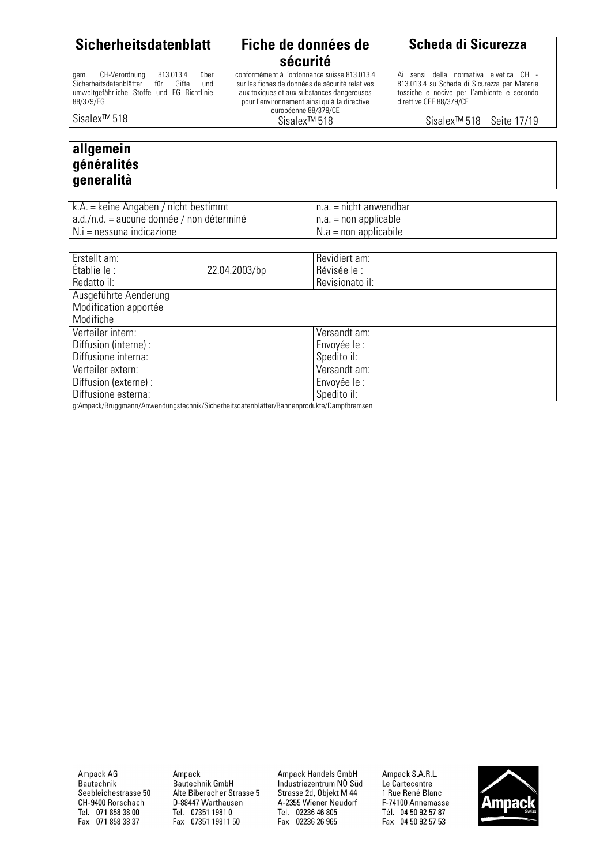gem. CH-Verordnung 813.013.4 über<br>Sicherheitsdatenblätter für Gifte und

umweltgefährliche Stoffe und EG Richtlinie

**sécurité** 

conformément à l'ordonnance suisse 813.013.4 sur les fiches de données de sécurité relatives aux toxiques et aux substances dangereuses pour l'environnement ainsi qu'à la directive européenne 88/379/CE Sisalex™ 518

**Scheda di Sicurezza**

Ai sensi della normativa elvetica CH - 813.013.4 su Schede di Sicurezza per Materie tossiche e nocive per l´ambiente e secondo direttive CEE 88/379/CE

Sisalex™ 518 Seite 17/19

Sisalex™ 518

88/379/EG

Sicherheitsdatenblätter

#### **allgemein généralités generalità**

| $k.A =$ keine Angaben / nicht bestimmt    | $n.a.$ = nicht anwendbar |
|-------------------------------------------|--------------------------|
| a.d./n.d. = aucune donnée / non déterminé | $n.a. = non applicable$  |
| N.i = nessuna indicazione                 | $N.a = non$ applicabile  |
|                                           |                          |

| Erstellt am:          |                    | Revidiert am:   |
|-----------------------|--------------------|-----------------|
| Établie le :          | 22.04.2003/bp      | Révisée le :    |
| Redatto il:           |                    | Revisionato il: |
| Ausgeführte Aenderung |                    |                 |
| Modification apportée |                    |                 |
| Modifiche             |                    |                 |
| Verteiler intern:     |                    | Versandt am:    |
| Diffusion (interne):  |                    | Envoyée le :    |
| Diffusione interna:   |                    | Spedito il:     |
| Verteiler extern:     |                    | Versandt am:    |
| Diffusion (externe) : |                    | Envoyée le :    |
| Diffusione esterna:   | $\cdots$<br>$\sim$ | Spedito il:     |

g:Ampack/Bruggmann/Anwendungstechnik/Sicherheitsdatenblätter/Bahnenprodukte/Dampfbremsen

Ampack AG Bautechnik Seebleichestrasse 50 CH-9400 Rorschach Tel. 071 858 38 00 Fax 071 858 38 37

Ampack Bautechnik GmbH Alte Biberacher Strasse 5 D-88447 Warthausen Tel. 07351 1981 0 Fax 07351 19811 50

Ampack Handels GmbH Industriezentrum NÖ Süd Strasse 2d, Objekt M 44 A-2355 Wiener Neudorf Tel. 02236 46 805 Fax 02236 26 965

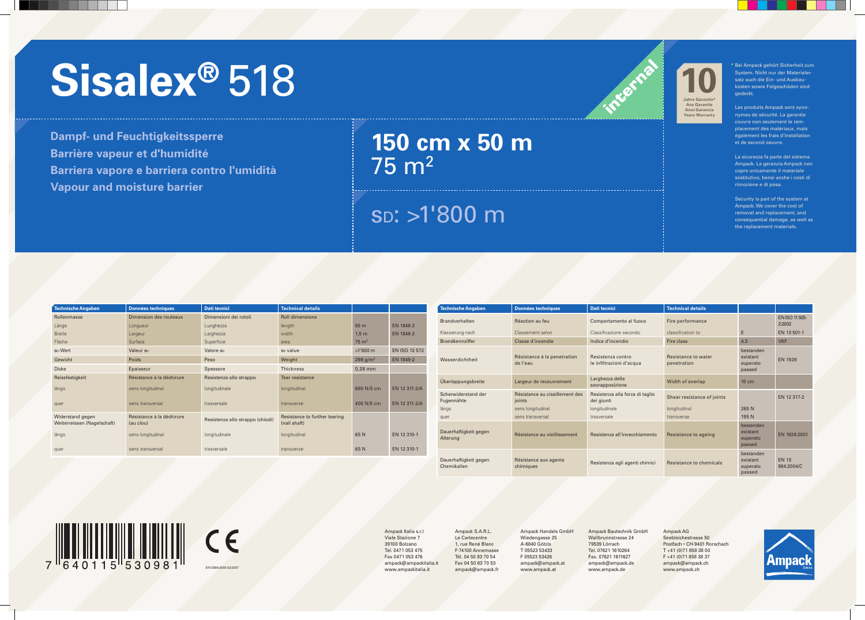## sD: >1'800 m

# Sisalmpack gehört Sicherheit zum auch aus der Australer- aus **Sisaler aus der Australer** aus **Sisaler aus der Australer** aus **Sisaler aus der Australer** aus der **Sisaler aus der Australer** aus der Scherheit zum aus der Aus

**Dampf- und Feuchtigkeitssperre Barrière vapeur et d'humidité Barriera vapore e barriera contro l'umidità Vapour and moisture barrier**

# **150 cm x 50 m**  75 m2

| Technische Angaben                              | <b>Données techniques</b>              | <b>Dati tecnici</b>              | <b>Technical details</b>                      |                  |                  |
|-------------------------------------------------|----------------------------------------|----------------------------------|-----------------------------------------------|------------------|------------------|
| Rollenmasse                                     | Dimension des rouleaux                 | Dimensioni dei rotoli            | <b>Roll dimensions</b>                        |                  |                  |
| Länge                                           | Longueur                               | Lunghezza                        | length                                        | 50 <sub>m</sub>  | <b>EN 1848-2</b> |
| <b>Breite</b>                                   | Largeur                                | Larghezza                        | width                                         | 1,5m             | EN 1848-2        |
| Fläche                                          | Surface                                | Superficie                       | area                                          | $75 \text{ m}^2$ |                  |
| s <sub>D</sub> -Wert                            | Valeur sp                              | Valore sp                        | s <sub>D</sub> value                          | $>1'800$ m       | EN ISO 12 572    |
| Gewicht                                         | Poids                                  | Peso                             | Weight                                        | 298 $g/m^2$      | EN 1849-2        |
| <b>Dicke</b>                                    | Epaisseur                              | Spessore                         | <b>Thickness</b>                              | $0,28$ mm        |                  |
| Reissfestigkeit                                 | Résistance à la déchirure              | Resistenza allo strappo          | Tear resistance                               |                  |                  |
| längs                                           | sens longitudinal                      | longitudinale                    | longitudinal                                  | 680 N/5 cm       | EN 12 311-2/A    |
| quer                                            | sens transversal                       | trasversale                      | transverse                                    | 400 N/5 cm       | EN 12 311-2/A    |
| Widerstand gegen<br>Weiterreissen (Nagelschaft) | Résistance à la déchirure<br>(au clou) | Resistenza allo strappo (chiodi) | Resistance to further tearing<br>(nail shaft) |                  |                  |
| längs                                           | sens longitudinal                      | longitudinale                    | longitudinal                                  | 65N              | EN 12 310-1      |
| quer                                            | sens transversal                       | trasversale                      | transverse                                    | 65N              | EN 12 310-1      |

CE EN13984:2005-02/2007

| <b>Technische Angaben</b>            | <b>Données techniques</b>                | <b>Dati tecnici</b>                           | <b>Technical details</b>           |                                             |                                 |
|--------------------------------------|------------------------------------------|-----------------------------------------------|------------------------------------|---------------------------------------------|---------------------------------|
| <b>Brandverhalten</b>                | Réaction au feu                          | Comportamento al fuoco                        | Fire performance                   |                                             | <b>EN ISO 11 925-</b><br>2:2002 |
| Klassierung nach                     | Classement selon                         | Classificazione secondo                       | classification to                  | E                                           | EN 13 501-1                     |
| <b>Brandkennziffer</b>               | Classe d'incendie                        | Indice d'incendio                             | Fire class                         | 4.3                                         | <b>VKF</b>                      |
| Wasserdichtheit                      | Résistance à la penetration<br>de l'eau  | Resistenza contro<br>le infiltrazioni d'acqua | Resistance to water<br>penetration | bestanden<br>existant<br>superato<br>passed | <b>EN 1928</b>                  |
| Überlappungsbreite                   | Largeur de recouvrement                  | Larghezza della<br>sovrapposizione            | Width of overlap                   | $10 \text{ cm}$                             |                                 |
| Scherwiderstand der<br>Fugennähte    | Résistance au cisaillement des<br>joints | Resistenza alla forza di taglio<br>dei giunti | Shear resistance of joints         |                                             | EN 12 317-2                     |
| längs                                | sens longitudinal                        | longitudinale                                 | longitudinal                       | 265 N                                       |                                 |
| quer                                 | sens transversal                         | trasversale                                   | transverse                         | 195 N                                       |                                 |
| Dauerhaftigkeit gegen<br>Alterung    | Résistance au vieillissement             | Resistenza all'invecchiamento                 | Resistance to ageing               | bestanden<br>existant<br>superato<br>passed | EN 1928:2001                    |
| Dauerhaftigkeit gegen<br>Chemikalien | Résistance aux agents<br>chimiques       | Resistenza agli agenti chimici                | Resistance to chemicals            | bestanden<br>existant<br>superato<br>passed | <b>EN 13</b><br>984:2004/C      |

System. Nicht nur der Materialersatz auch die Ein- und Ausbaukosten sowie Folgeschäden sind gedeckt.

Les produits Ampack sont synonymes de sécurité. La garantie couvre non seulement le remplacement des matériaux, mais également les frais d'installation et de second oeuvre.

La sicurezza fa parte del sistema Ampack. La garanzia Ampack non copre unicamente il materiale sostitutivo, bensì anche i costi di rimozione e di posa.

Security is part of the system at Ampack. We cover the cost of removal and replacement, and consequential damage, as well as the replacement materials.



Ampack AG Seebleichestrasse 50 Postfach • CH-9401 Rorschach T +41 (0)71 858 38 00 F +41 (0)71 858 38 37 ampack@ampack.ch www.ampack.ch



Ampack Handels GmbH Wiedengasse 25 A-6840 Götzis T 05523 53433 F 05523 53426 ampack@ampack.at www.ampack.at

Ampack Italia s.r.l Viale Stazione 7 39100 Bolzano Tel. 0471 053 475 Fax 0471 053 476 ampack@ampackitalia.it www.ampackitalia.it

Ampack Bautechnik GmbH Wallbrunnstrasse 24 79539 Lörrach Tel. 07621 1610264 Fax. 07621 1611627 ampack@ampack.de www.ampack.de

Ampack S.A.R.L. Le Cartecentre 1, rue René Blanc F-74100 Annemasse Tél. 04 50 83 70 54 Fax 04 50 83 70 53 ampack@ampack.fr